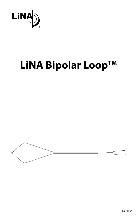

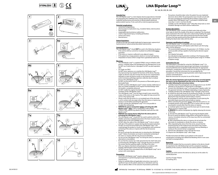





















**70 W 55 W** 









## **LiNA Bipolar Loop™**

BL-160, BL-200, BL-240

#### **Intended Use:**

The LiNA Bipolar LoopTM is a 5mm bipolar electrosurgical device intended for amputating the mobilized uterus during laparoscopic supracervical (subtotal) hysterectomy and resection of devasculated subserosal pedunculated myomas. To be used with an electrosurgical generator.

### **Potential complications:**

- conversion to laparotomy; • electrosurgical complications (e.g., insulation failure, electrocution);
- hemorrhage:
- implantable electrical device malfunction;
- small or large bowel injury, including perforation;
- urinary tract injury;
- thermal burns.

#### **Patient Population:**

Female of any age and weight dedicated to laparoscopic supracervical hysterectomy or subserosal penduculated myomectomy.

### **Contraindications:**

The LiNA Bipolar LoopTM should **NOT** be used in the following situations: • If the uterine isthmus cannot be visualized circumferentially before activation.

- If the uterus or myoma is adhered to any adjacent organs.
- If the patient has a large posterior uterine or cervical wall myomas.
- Amputation of uterus which is larger than a gestational week of 20.

- **Warnings:**<br>• The LiNA Bipolar Loop™ is supplied STERILE using an ethylene oxide process. Carefully inspect the packaging for any damage prior to use. Do NOT use if sterile barrier is damaged. Do NOT use past expiration date.
- For single use ONLY. To bangle ase one...<br>Do NOT reuse, reprocess or re-sterilize the LiNA Bipolar Loop™. Any reprocessing may impede the functions of the device. Reusing single use devices may also increase the risk of cross contamination. Attempts to clean the device results in risk of device malfunction and/or erroneous pathology specimen collection due to residual tissue in the LiNA Bipolar Loop™
- Do NOT use the device when in the presence of flammable gases or flammable fluids.
- Do NOT use if the LiNA Bipolar Loop<sup>TM</sup> is bent, twisted, malformed, or does not unfold completely to the original rhomboid design when the handle is completely advanced.
- Do NOT modify the original rhomboid design and electrode insulation of the LiNA Bipolar Loop™.
- The LiNA Bipolar Loop<sup>TM</sup> must be large enough to pass around the corpus of the uterus or the myoma. Then apply the loop around the cervix or the myoma stalk.
- Always verify that the active (i.e. un-insulated) part of the electrode is not in contact with any organ other than the uterus or myoma (e.g. bowel or vessel) before activating the generator.
- Do NOT activate the LiNA Bipolar Loop<sup>TM</sup> if it is not possible to visualize the cutting loop. **• REMOVE the uterus manipulator before activating the LiNA**
- **Bipolar Loop™. Only** a uterus manipulator made of NON-CONDUCTING material (e.g. plastic) should be used with the LiNA Bipolar Loop™.
- **• REMOVE intra uterine device (IUD) from the uterus prior to activating the LiNA Bipolar Loop<sup>TM</sup>.**
- The LiNA Bipolar Loop™ should NOT be used in patients where the bladder cannot be completely dissected at the lower anterior uterine segment due to the risk of bladder injury.
- Do NOT allow the cable of the LiNA Bipolar Loop<sup>TM</sup> to be in contact with skin of the patient or surgeon during electrosurgical activation.
- Do NOT use excessive force/load to the LiNA Bipolar LoopTM. This could damage the product or result in strangulation and mechanical sectioning of the uterus or myoma with the risk of excessive bleeding.
- Be sure to activate the electrode prior to retracting the LiNA Bipolar Loop™. Failure of activation can result in mechanical sectioning of the uterus or myoma with the risk of excessive bleeding.
- Do not use the LiNA Bipolar Loop<sup>TM</sup> for slicing the uterus or myoma as alternative to morcellation.
- Be sure that the ceramic tip is fully retracted into the shaft /tube prior to extracting the LiNA Bipolar LoopTM through the trocar to prevent the ceramic tip from getting caught in the flap of the valve. • After use, dispose of product and packaging in accordance with
- hospital, administrative and/or local government policy. DO NOT activate if the uninsulated wires of LiNA Bipolar Loop™ are in
- contact with metal objects.

#### **Precautions:**

- $\overline{\phantom{a}}$  Use of the LiNA Bipolar Loop<sup>TM</sup> requires adequate training and experience in performing laparoscopic hysterectomy and myomectomy.
- Failure to carefully follow all applicable instructions may result in significant injury to the patient, physician or attendants and may have an adverse effect on the outcome of procedures performed.
- Precautions should be taken when the patient has any implanted electronic device (IED). The perioperative team should consult with the team managing the implanted device before surgery and as needed. When LINA Bipolar Loop™ is activated it should be kept more than ½ inch (1 cm) from the IED.
- Carefully use the LiNA Bipolar Loop™ with other sharp tools as wire's insulation damage can lead to device malfunction.

**Product description:** The LiNA Bipolar LoopTM consists of a black outer-tube and a blue inner-tube at which the handle of the device is attached. The rhomboid loop is fastened to the inner-tube and is advanced by holding the upper part of the black outer-tube while pushing forward the blue handle. To retract the loop, gently pull the blue handle with one hand while holding the black outer-tube with the other.

#### **Generator specifications & settings:**

The LiNA Bipolar Loop<sup>TM</sup> is compatible with most standard electrosurgical generators with bipolar outlet (fixed 2-pin 4mm plug with a 29 mm distance). • The recommended setting for the generator is 55-70 Watts. Use the

- lowest possible settings capable of achieving the desired surgical effect.
- Use a bipolar foot pedal.
- Use only electrosurgical generators working in the frequency field 350 to 472 KHz as a minimum covering the power range 55-70 Watts of bipolar energy.

#### **Instructions for use:**

<u>Manute Committed Forms</u><br>This information is provided for using the LiNA Bipolar Loop™. It is not intended to demonstrate laparoscopic techniques or procedures. Consult published and recognized medical literature for appropriate techniques, complications, and hazards prior to doing any laparoscopic procedure. Consult the instructions for use provided by the manufacturer of the electrosurgical generator and/or laparoscope to be used for contraindications. Read the instruction for use prior to use of this device!

#### **After the uterine ligaments and vessels have been correctly ligated, the uterus can be amputated from the cervix or the myoma from the stalk, following the instructions below:**

- 1. Carefully inspect the packaging for any damage prior to use. Do NOT attempt to use the device if sterile barrier is damaged.
- 2. Connect the LiNA Bipolar Loop™ to the generator's bipolar outlet. Set the generator between 55-70 Watts depending on type of generator.
- 3. Carefully introduce the LiNA Bipolar LoopTM through a 5mm trocar. 4. **a.** Unfold the electrode (loop) by forwarding the handle. The handle
- must be completely advanced and the loop 100% unfolded prior to placing the loop around the uterine body or myoma. **b.** Use grasper(s) and the uterine manipulator to assist placing the electrode (loop) around the uterine body or myoma.
- 5. Before activating the generator always verify that the active (i.e. uninsulated) portion of the electrode is not in contact with any organ (e.g. bowel or vessel) other than the uterus or myoma.
- 6. **a.** Carefully tighten the loop around the lower part of uterine body (above cervix) or myoma stalk.
- **b. REMOVE** the uterine manipulator by slightly releasing the tension of the loop.
- 7. **a.** Activate the LiNA Bipolar Loop™ by pressing the bipolar pedal. Be sure to await the bipolar energy before sectioning the uterus or myoma. Immediate retraction of the loop may inflict an unintended mechanical cut.
- **b.** After amputating the uterus or myoma, do not activate the electrodes to manipulate or divide the uterus or myoma.
- 8. After amputating the uterus from the cervix, ensure that the proximal portion of the endocervical canal which may contain endometrial cells is coagulated, and ensure that any bleeding or oozing on the cervical stump is coagulated.
- Remove the LiNA Bipolar Loop™ through the trocar. 10. Dispose the LiNA Bipolar Loop™ after usage

Provide instructions for follow-up to patients in the event of complications including intra abdominal bleeding which in rare cases can lead to exsanguinations.

#### **Reporting:**

Any serious incident that has occurred in relation to the device should be reported to the LiNA Medical ApS and the competent regulatory authority of the country in which the user and/or patient is established.

### **Caution:**

Federal Law (USA) restricts this device to sale by or on the order of a trained physician.

Country of origin: Poland. CE marking 2012.

**en**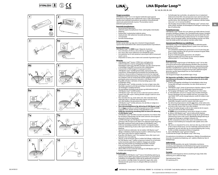















**70 W 55 W** 

 $\%$ 

 $\mathbf{c}$ 





## **LiNA Bipolar Loop™**

BL-160, BL-200, BL-240

#### **Tilsigtet anvendelse:**

LiNA Bipolar LoopTM er et 5 mm bipolart elektrokirurgisk apparat beregnet til at amputere den mobiliserede uterus under laparoskopisk supracervikal (subtotal) hysterektomi og resektion af devaskulerede subserosale pedunkulerede myomer. Til anvendelse med en elektrokirurgisk generator.

#### **Potentielle komplikationer:** • konvertering til laparotomi;

- elektrokirurgiske komplikationer (f.eks. isoleringsfejl, strømskade);
- blødning;
- funktionsfejl i implanterbart elektrisk udstyr;
- skade på tynd- eller tyktarmen herunder perforering; • urinvejsskade;
- termiske forbrændinger.

#### **Patientpopulation:**

Kvinder uanset alder og vægt, der er bestemt til laparoskopisk supracervikal hysterektomi eller subserosal pedunkuleret myomektomi.

- **Kontraindikationer:**<br>LiNA Bipolar Loop™ må **IKKE** bruges i følgende situationer: • Hvis omkredsen af isthmus uterus ikke kan ses før aktivering.
- First unter deler myom adhærerer til et tilstødende organ.
- Hvis patienten har et stort posteriort uterusmyom eller et intramuralt
- myom i cervix. • Amputation af uterus, der er større end svarende til gestationsuge 20.

#### **Advarsler:**

- <u>• Lina Bipolar Loop™ leveres i STERIL form ved hjælp af en</u> etylhenoxidproces. Inspicer omhyggeligt emballagen for beskadigelse inden brug. Må IKKE anvendes, hvis den sterile barriere er beskadiget. Brug IKKE instrumentet efter udløbsdatoen. • Instrumentet er KUN beregnet til engangsanvendelse.
- LiNA Bipolar LoopTM må IKKE genanvendes, reprocesseres eller resteriliseres. Genbearbejdning af produktet kan beskadige dets funktioner. Genanvendelse af engangsinstrumenter kan også øge risikoen for krydskontaminering. Forsøg på at rengøre anordningen kan indebære risiko for funktionsfejl og/eller fejlagtig indsamling af patologiske prøver på grund af restvævet i LiNA Bipolar Loop™. • Brug IKKE enheden i nærheden af letantændelige gasser eller
- brandfarlige væsker. • LiNA Bipolar LoopTM må ikke anvendes, hvis den er bøjet, skæv eller
- ikke folder sig præcist ud til det oprindelige rhombeformede design, når håndtaget er skubbet helt frem. • Det oprindelige rhombeformede design og elektrodeisolering af
- LiNA Bipolar Loop™ må IKKE ændres.
- LiNA Bipolar LoopTM skal være så stor, at den kan passere rundt om corporis uteri eller myom. Anbring derefter slyngen rundt om cervix eller myomstilk.
- Man skal altid sikre sig, at den aktive (dvs. ikke-isolerede) del af elektroden ikke er i kontakt med andre organer end uterus (f.eks. tarm eller blodkar), før generatoren aktiveres.
- LiNA Bipolar Loop™ må ikke aktiveres, hvis det ikke er muligt at se
- den skærende slynge. **• Fjern uterusmanipulatoren før aktivering af LiNA Bipolar LoopTM.**  Der må **kun** anvendes en uterusmanipulator lavet af IKKE-LEDENDE materialer (f.eks. plastik) sammen med LiNA Bipolar Loop™. **• FJERN den intrauterine anordning (IUD) fra uterus før aktivering**
- **af LiNA Bipolar Loop™.**<br>• LiNA Bipolar Loop™ bør IKKE anvendes til patienter, hvor blæren ikke
- kan dissekeres fuldstændigt ved det nedre anteriore uterussegment på grund af risiko for blæreskade.
- Lad IKKE ledningen på LiNA Bipolar LoopTM komme i kontakt med patientens eller kirurgens hud i løbet af en elektrokirurgisk aktivering.
- Brug IKKE overdreven kraft under brugen af LiNA Bipolar Loop™.<br>Dette kan beskadige produktet eller resultere i strangulering eller mekanisk sektionering af uterus eller myom med risiko for voldsom blødning.
- Sørg for at aktivere elektroden, før du trækker LiNA Bipolar Loop™ tilbage. Undladelse af aktivering kan resultere i sektionering af uterus eller myom med risiko for voldsom blødning.
- Brug ikke LiNA Bipolar LoopTM til at opskære uterus eller myom som alternativ til en morcellering.
- Sørg for, at den keramiske spids er trukket helt tilbage i skaftet/røret, før LiNA Bipolar Loop™ trækkes ud gennem trokaren for at forhindre,<br>at den keramiske spids bliver fastklemt i klappen på ventilen.
- Efter brug skal produkt og emballage bortskaffes i henhold til de retningslinjer, som hospitalet/administrationen eller sundhedsmyndighederne foreskriver.
- Aktiver IKKE, hvis de uisolerede ledninger til LiNA Bipolar Loop™ er i kontakt med metalgenstande.

#### **Forholdsregler:**

- Anvendelse af LiNA Bipolar LoopTM kræver tilstrækkelig oplæring og erfaring med at udføre laparoskopisk hysterektomi og myomektomi.
- Undladelse af omhyggeligt at følge alle de gældende instruktioner kan resultere i alvorlige skader hos patienten, lægen eller andre tilstedeværende og kan have en utilsigtet effekt på resultatet af operationen.
- Forholdsregler bør overholdes, når patienten har en implanteret elektronisk enhed (IED). Det perioperative team skal konsultere det hold, der administrerer den implanterede enhed, før operationen og efter behov. Når LiNA Bipolar Loop™ er aktiveret, skal den holdes mere end 1 cm (½ tomme) fra IED'en.
- Vær forsigtig ved anvendelse af LiNA Bipolar Loop™ sammen med andre skarpe værktøjer, da beskadigelse af ledningens isolering kan føre til funktionsfejl.

**da**

<mark>Produktbeskrivelse:</mark><br>LiNA Bipolar Loop™ består af et sort yderrør og et blåt inderrør, hvorpå enhedens håndtag er fastgjort. Den rhombeformede slynge er fastgjort til inderrøret og fremføres ved at holde på den øverste del af det sorte yderrør, mens det blå håndtag skubbes fremad. For at trække slyngen tilbage, skal du forsigtigt trække i det blå håndtag med den ene hånd, mens du holder på det sorte yderrør med den anden hånd.

#### **Generatorspecifikationer og -indstillinger:**

LiNA Bipolar Loop™ er kompatibel med de fleste elektrokirurgiske generatorer med bipolar udgang (fikseret 2-polet 4 mm-stik med en afstand på 29 mm).

- Den anbefalede indstilling for generatoren er 55-70 watt. Brug den lavest mulige indstilling, der kan give den ønskede kirurgiske effekt. • Brug en bipolar fodpedal.
- Brug kun elektrokirurgiske generatorer, der arbejder i frekvensområdet 350 til 472 KHz og som minimum dækker effektområdet 55-70 watt bipolar energi.

#### **Brugsanvisning:**

Disse oplysninger angår brugen af LiNA Bipolar Loop™. De har ikke til formål at demonstrere laparoskopiske teknikker eller procedurer. Se publiceret og anerkendt medicinsk litteratur vedrørende korrekte teknikker, komplikationer og farer, før der foretages laparoskopiske procedurer. Producentens brugsanvisning til den elektrokirurgiske generator og/eller laparoskopet kan ses med henblik på kontraindikationer.

Læs brugsanvisningen, før produktet tages i brug!

#### **Når ligamenter og blodkar i uterus er blevet korrekt ligeret følges instruktionerne herunder for at amputere uterus fra cervix eller myom fra stilk:**

- 1. Inspicer omhyggeligt emballagen for beskadigelse inden brug. Forsøg IKKE at bruge instrumentet, hvis den sterile barriere er beskadiget.
- 2. LiNA Bipolar Loop™ sluttes til generatorens bipolare udgang. Indstil generatoren til 55-70 watt afhængigt af generatortypen.
- 3. Før forsigtigt LiNA Bipolar LoopTM ind gennem en 5 mm trokar. 4. **a.** Fold elektroden ud (som en slynge) ved at skubbe håndtaget
- fremad. Håndtaget skal være skubbet helt frem, og slyngen skal være foldet 100 % ud, før slyngen placeres rundt om corporis uteri eller myom.

**b.** Brug griberen/griberne og uterusmanipulatoren til at placere elektroden (slyngen) rundt om corporis uteri eller myom.

- 5. Før aktivering af generatoren skal det altid sikres, at den aktive (dvs. ikke-isolerede) del af elektroden ikke er i kontakt med andre organer end uterus eller myom (f.eks. tarm eller blodkar).
- 6. **a.** Stram forsigtigt slyngen rundt om den nederste del af corporis uteri (oven over cervix) eller myomstilken. **b. FJERN** uterusmanipulatoren ved at løsne slyngen en anelse.
- 7. **a.** Aktiver LiNA Bipolar LoopTM ved at trykke på den bipolare pedal. Sørg for at afvente den bipolare energi, før du gennemfører sektionering af uterus eller myom. Øjeblikkelig tilbagetrækning af slyngen kan forårsage et utilsigtet mekanisk snit. **b.** Efter amputation af uterus eller myom må elektroderne ikke aktiveres med henblik på at manipulere eller opdele uterus eller
- myom. 8. Når uterus er amputeret fra cervix, skal man sikre sig, at den øvre del af den endocervikale kanal, som kan indeholde endometrieceller, er koaguleret, og man skal sikre sig, at eventuel blødning eller sivning
- fra den cervikale amputationsstump er koaguleret. 9. Fjern LiNA Bipolar Loop™ gennem trokaren.
- 10. Bortskaf den brugte LiNA Bipolar Loop™ efter brug.

Giv patienterne instruktioner om opfølgning i tilfælde af komplikationer, herunder intraabdominal blødning, som i sjældne tilfælde kan føre til forblødninger.

### **Indberetning:**

Enhver alvorlig hændelse, der opstår i forbindelse med denne anordning, skal indberettes til LiNA Medical ApS og den kompetente kontrolmyndighed i det land, hvor brugeren og/eller patienten har hjemsted.

### **Forsigtig:**

Føderal lov (USA) begrænser denne anordning til salg af eller efter ordinering af en uddannet læge.

Oprindelsesland: Polen. CE-mærkning 2012.

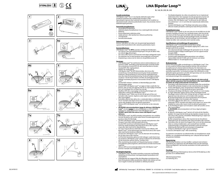



















BL-160, BL-200, BL-240

#### **Avsedd användning:**

LiNA Bipolar LoopTM är en 5 mm bipolär elektrokirurgisk enhet avsedd att amputera den mobiliserade livmodern under laparaskopisk supracervikal (subtotal) hysterektomi och resektion av devaskulariserade subserösa pedunkulära myom. Ska användas med en elektrokirurgisk generator.

### **Potentiella komplikationer:**

- omvandling till laparotomi • elektrokirurgiska komplikationer (t.ex. isoleringsfel eller elchock)
- blödning
- fel på implantatets elektriska enhet
- skador på tunn- eller tjocktarmen inklusive perforering • urinvägsskada
- termiska brännskador.

**Patientpopulation:** Kvinnor i alla åldrar och vikter som ska genomgå laparaskopisk supracervikal hysterektomi eller subserösa pedunkulära myom.

- **Kontraindikationer:**<br>LiNA Bipolar Loop™ får **INTE** användas vid följande förhållanden: • Om isthmus uteri (livmoderförträngningen) inte går att iaktta i hela sin omkrets före aktiveringen.
- en sum su <u>terre</u> ann sungsnis.<br>Om uterus eller myom är sammanväxt med något närliggande organ.
- Om patienten har en tjock posterior uterusvägg eller cervixmyor
- Amputering av uterus som är större än vid graviditetsvecka 20.

- **<u>Varningar:</u>**<br>• LiNA Bipolar Loop™ har steriliserats med en etylenoxidprocess och levereras STERIL. Kontrollera noga förpackningen avseende skador före användning. Använd INTE om den sterila barriären är bruten. Använd INTE efter utgångsdatum.
- ENDAST för engångsbruk. LiNA Bipolar LoopTM får INTE återanvändas, återvinnas eller omsteriliseras. Eventuell återprocessering kan hindra produktens funktioner. Återanvändning av instrument för engångsbruk kan även öka risken för korskontaminering. Försök att rengöra enheten resulterar i risk för fel på enheten och/eller att patologiprover blir felaktigt insamlade på grund av kvarvarande vävnad i LiNA Bipolar  $L$ oopTM
- Använd INTE enheten i närheten av lättantändliga gaser eller lättantändliga vätskor.
- Använd INTE LiNA Bipolar LoopTM om öglan är böjd, snodd eller har fel form, eller om den inte öppnats helt till sin ursprungliga romboida form när handtaget förts så långt fram det går.
- Modifiera INTE den ursprungliga romboida utformningen och elektrodens isolering på LiNA Bipolar Loop™.
- LiNA Bipolar LoopTM måste vara så stort att det går att föra runt livmodern eller myomet. Applicera sedan öglan runt livmoderhalsen eller myomstjälken.
- Kontrollera alltid att den aktiva (d.v.s. oisolerade) delen av elektroden inte är i kontakt med något annat organ än uterus eller myomet (t.ex. tarmar eller blodkärl) innan du aktiverar generatorn.
- Aktivera INTE LiNA Bipolar Loop™ om du inte kan se den skärande öglan.
- **• AVLÄGSNA uterusmanipulatorn innan du aktiverar LiNA Bipolar LoopTM.** Använd **endast** en uterusmanipulator av ICKE-LEDANDE material (t.ex. plast) tillsammans med LiNA Bipolar Loop<sup>T</sup>
- **• TA BORT spiral (IUD) från uterus innan LiNA Bipolar LoopTM aktiveras.**  • LiNA Bipolar Loop<sup>TM</sup> ska INTE användas med patienter vars urinblåsa
- inte kan dissekeras helt vid det nedre främre livmodersegmentet på grund av risken för blåsskada.
- Låt INTE LiNA Bipolar LoopTM komma i kontakt med patientens eller kirurgens hud under elektrokirurgisk aktivering. • Använd INTE överdriven kraft/belastning på LiNA Bipolar LoopTM.
- Detta kan skada produkten eller leda till att uterus eller myomet stryps eller skärs med risk för riklig blödning. • Var noga med att aktivera elektroden innan du drar tillbaka LiNA
- Bipolar LoopTM. Fel på aktiveringen kan leda till att uterus eller myom skärs med risk för överdriven blödning.
- Använd inte LiNA Bipolar Loop™ som ett alternativ till morcellering för att skära uterus eller myomet.
- Se till att den keramiska spetsen är helt indragen i axeln/röret innan du extraherar LiNA Bipolar Loop™ genom troakaren för att förhindra att den keramiska spetsen fastnar i ventilens lock.
- Efter användning ska produkt och förpackning kasseras i enlighet med gällande sjukhusregelverk, administrativa och/eller kommunala regelverk.
- Aktivera INTE om de oisolerade kablarna för LiNA Bipolar Loop™ kommer i kontakt med metallföremål.

- **<u>Försiktighetsåtgärder:</u><br>• L**iNA Bipolar Loop™ får endast användas av personer med lämplig utbildning och erfarenheter med laparoskopisk hysterektomi och myomektomi.
- Underlåtenhet att noggrant följa alla tillämpliga instruktioner kan leda till betydande skador på patienten, läkaren eller skötare och kan ha en negativ inverkan på resultatet av utförda procedurer.
- Försiktighetsåtgärder ska vidtas när patienten har en implanterad elektronisk enhet. Före ingreppet ska det perioperativa teamet vid behov rådgöra med teamet som ansvarar för den implanterade enheten. När LiNA Bipolar LoopTM är aktiverad ska den hållas på ett avstånd över 1 cm (½ tum) från den implanterade elektroniska enheten.
- Använd LiNA Bipolar LoopTM försiktigt med andra vassa verktyg eftersom skador på kabelns isolering kan leda till fel på enheten.

**sv**

<mark>Produktbeskrivning:</mark><br>LiNA Bipolar Loop™ består av ett svart yttre rör och ett blått inre rör där enhetens handtag är fastsatt. Den romboida loopen sitter fast på det inre röret och förs fram genom att hålla i den övre delen av det svarta yttre röret medan du trycker det blå handtaget framåt. Dra tillbaka öglan genom att dra försiktigt i det blå handtaget med ena handen medan du håller i det svarta yttre röret med den andra.

#### **Specifikationer och inställningar för generatorn:**

LiNA Bipolar Loop™ är kompatibel med de flesta vanliga elektrokirurgiska generatorer med bipolär utgång (fast 2-stifts 4 mm kontakt med 29 mm avstånd).

- Den rekommenderade inställningen för generatorn är 55–70 watt. Använd de lägsta möjliga inställningarna som kan uppnå önskad kirurgisk effekt. • Använd en bipolär fotpedal.
	- Använd endast elektrokirurgiska generatorer som arbetar i frekvensfältet 350 till 472 KHz som ett minimum som täcker effektområdet 55–70 watt bipolär energi.

#### **Bruksanvisning:**

Denna information gäller användningen av LiNA Bipolar Loop™. Den är inte avsedd att förklara laparoskopiska tekniker eller procedurer. Se publicerad och erkänd medicinsk litteratur för information om lämpliga tekniker, komplikationer och risker innan några laparoskopiska procedurer genomförs. Läs bruksanvisningen från tillverkaren av den elektrokirurgiska generatorn och/eller det laparoskop som ska användas för information om kontraindikationer. Läs bruksanvisningen före användning av enheten!

### **När uterusligament och uteruskärl har ligerats och uterus på ett säkert sätt kan amputeras från livmoderhalsen eller myomstjälken fortsätter du enligt nedanstående instruktioner:**

- 1. Kontrollera noga förpackningen avseende skador före användning. Försök INTE använda enheten om den sterila barriären är skadad. 2. Anslut LiNA Bipolar LoopTM till generatorns bipolära utgång. Ställ
- generatorn på 55–70 watt beroende på typ av generator. 3. Introducera försiktigt LiNA Bipolar Loop™ genom en 5 mm troakar.
- 4. **a.** Frigör elektroden (öglan) genom att föra handtaget framåt. Handtaget måste ha förts fram så långt det går och öglan vara helt öppnad innan den placeras runt livmodern eller myomet. **b.** Använd tång/tänger och uterusmanipulatorn för att placera elektroden (öglan) runt livmodern eller myomet.
- 5. Kontrollera alltid att den aktiva (d.v.s. oisolerade) delen av elektroden inte är i kontakt med något annat organ (t.ex. tarmar eller blodkärl) än uterus eller myom innan du aktiverar generatorn.
- 6. **a.** Dra försiktigt åt öglan runt livmoderns nedre del (ovanför cervix) eller myomstjälken.
	- **b. AVLÄGSNA** uterusmanipulatorn och lossa något på öglans spänning.
- 7. **a.** Aktivera LiNA Bipolar Loop™ genom att trycka på den bipolära<br>pedalen. Var noga med att vänta på den bipolära energin innan du skär uterus eller myomet. Omedelbar tillbakadragning av öglan kan orsaka ett oavsiktligt snitt. **b.** Efter amputering av uterus eller myomet ska du inte aktivera
- elektroderna för att manipulera eller skära livmodern eller myomet. 8. Kontrollera efter att uterus har lösgjorts från cervix att den proximala
- delen av endocervikalkanalen, som eventuellt kan innehålla endometrieceller, är koagulerad. Kontrollera också att eventuell blödning eller flytning från cervixstumpen är koagulerad. 9. Avlägsna LiNA Bipolar Loop™ genom troakaren.
- 10. Kassera LiNA Bipolar Loop™ efter användning.

Ge patienten instruktioner om efterkontroller om komplikationer skulle tillstöta, t.ex. intraabdominell blödning som i sällsynta fall kan leda till att patienten förblöder.

**Rapportering:** Alla allvarliga händelser som har inträffat i samband med enhetens användning ska rapporteras till LiNA Medical ApS och den behöriga tillsynsmyndigheten i det land där användaren och/eller patienten är etablerad.

### **Försiktigt:**

Federal lagstiftning (USA) begränsar denna enhet till försäljning av eller på order av en utbildad läkare.

Tillverkningsland: Polen. CE-märkning 2012.

2022-04 FV0137J

 $\mathbb{S}$ 

**70 W 55 W** 

 $\mathbf{c}$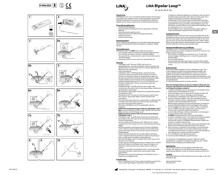











**70 W 55 W** 

 $\%$ 

 $\mathbf{c}$ 









## **LiNA Bipolar Loop™**

BL-160, BL-200, BL-240

#### **Tiltenkt bruk:**

LiNA Bipolar LoopTM er en 5 mm bipolar elektrokirurgisk enhet beregnet på amputering av mobilisert livmor under laparoskopisk supracervikal (subtotal) hysterektomi og reseksjon av devaskulariserte subserøse, stilkede myomer. Brukes sammen med en elektrokirurgisk generator.

### **Potensielle komplikasjoner:**

- konvertering til laparotom • elektrokirurgiske komplikasjoner (f.eks. isolasjonsfeil, strømstøt)
- blødning
- feil på implanterbar elektrisk enhet
- skade på tynntarm eller tykktarm inkludert perforering
- skade på urinveiene
- $\cdot$  termiske forbrenninger

#### **Pasientpopulasjon:**

Kvinner i alle aldre og vektgrupper som skal gjennomgå laparoskopisk supracervikal hysterektomi eller myomektomi av subserøse, stilkede myomer.

### **Kontraindikasjoner:**

LiNA Bipolar LoopTM skal **IKKE** brukes i følgende situasjoner: • Hvis omfanget til isthmus uteri ikke kan visualiseres før aktivering.

- Hvis livmoren eller myomer sitter fast i tilstøtende organer. • Hvis pasienten har et stort posteriort myom i livmoren eller myomer
- i livmorhalsveggen.
- Amputering av livmor som er større enn i gestasjonsuke 20.

#### **Advarsler:**

- LiNA Bipolar LoopTM blir levert STERIL, etter bruk av en etylenoksidprosess. Undersøk emballasjen nøye for skade før bruk. Skal IKKE brukes hvis den sterile barrieren er skadet. Apparatet skal IKKE brukes etter utløpsdatoen. • KUN til engangsbruk.
- LiNA Bipolar LoopTM må IKKE gjenbrukes, reprosesseres eller resteriliseres. Reprosessering kan hindre funksjonene til denne enheten. Hvis du bruker enheten for engangsbruk om igjen, kan det også øke risikoen for krysskontaminering. Forsøk på å rengjøre enheten medfører risiko for funksjonssvikt og/eller feilaktig patologisk prøvetaking på grunn av rest-vev i LiNA Bipolar Loop™ • Enheten skal IKKE brukes i nærvær av brennbare gasser eller
- brennbare væsker. • LiNA Bipolar LoopTM skal IKKE brukes hvis den er bøyd, vridd,
- misformet eller ikke brettes helt ut til den opprinnelige rombeformet eller ikke brettes helt ut til den opprinnelige rombefo når håndtaket er helt fremført.
- IKKE endre den opprinnelige rombeformen og elektrodeisolasjonen på LiNA Bipolar Loop™.
- LiNA Bipolar LoopTM må være stor nok til å passere rundt livmoren eller myomet. Legg deretter løkken rundt livmorhalsen eller myomstilken.
- Kontroller alltid at den aktive (dvs. uisolerte) delen av elektroden ikke er i kontakt med andre organer enn livmoren eller myomet (f.eks. tarm eller kar) før generatoren aktiveres.
- IKKE aktiver LiNA Bipolar LoopTM hvis skjæreløkken ikke kan visualiseres.
- **• FJERN livmormanipulatoren før du aktiverer LiNA Bipolar LoopTM. Kun** en livmormanipulator tilvirket av IKKE-LEDENDE materiale (f.eks. plast) må brukes med LiNA Bipolar Loop™.
- **• FJERN intrauterine enheter (IUD) fra livmoren før du aktiverer LiNA Bipolar LoopTM.**  • LiNA Bipolar LoopTM skal IKKE brukes til pasienter der blæren ikke
- kan dissekeres helt i det nedre fremre livmorsegmentet på grunn av risikoen for blæreskade. • Pass på at kabelen til LiNA Bipolar Loop™ IKKE kommer i kontakt
- med pasientens eller kirurgens hud mens elektrokirurgisk aktivering foregår
- IKKE bruk overdreven kraft/belastning når du bruker LiNA Bipolar LoopTM. Dette kan skade produktet eller føre til sammenklemming og mekanisk seksjonering av livmoren eller myomet med fare for kraftig blødning.
- Sørg for å aktivere elektroden før du trekker tilbake LiNA Bipolar LoopTM. Manglende aktivering kan føre til mekanisk seksjonering av livmoren eller myomet med fare for kraftig blødning.
- Ikke bruk LiNA Bipolar LoopTM til å skjære i livmor eller myom som et alternativ til morcellering. • Forsikre deg om at den keramiske spissen er trukket helt inn i skaftet/
- røret før du trekker ut LiNA Bipolar Loop™ gjennom trokaren, for å forhindre at den keramiske spissen setter seg fast i klaffen på ventilen.
- Etter bruk må produktet og emballasjen kastes i overensstemmelse med sykehusets praksis, administrativ praksis og/eller lokale bestemmelser.
- IKKE aktiver hvis de uisolerte ledningene til LiNA Bipolar Loop™ er i kontakt med metallgjenstander.

**Forholdsregler:**<br>• Bruk av LiNA Bipolar Loop™ krever adekvat opplæring og erfaring for å kunne utføre laparoskopisk hysterektomi og myomektomi.

- Unnlatelse av å følge alle gjeldende instruksjonene nøye kan føre til betydelig skade på pasienten, legen eller personalet og kan ha en negativ innvirkning på resultatet av utførte prosedyrer.
- Forholdsregler må tas når pasienten har elektroniske implantater. Det perioperative teamet bør rådføre seg med teamet ansvarlig for implantatet før kirurgi og ved behov. Når LiNA Bipolar Loop™ har blitt aktivert, bør den holdes unna det elektroniske implantatet med en avstand på mer enn 1 cm (½ tomme).
- Bruk LiNA Bipolar LoopTM forsiktig med andre skarpe verktøy, da skader på ledningens isolasjon kan føre til funksjonssvikt.

#### **Produktbeskrivelse:**

LiNA Bipolar Loop<sup>TM</sup> består av et svart ytre rør og et blått indre rør der håndtaket på enheten er festet. Den rombeformede løkken er festet til det indre røret og føres frem ved å holde den øvre delen av det svarte ytre røret mens du skyver det blå håndtaket fremover. Løkken trekkes tilbake ved å trekke forsiktig i det blå håndtaket med den ene hånden mens du holder det svarte ytre røret med den andre.

## **<u>Generatorspesifikasjoner og -innstillinger:</u><br>LiNA Bipolar Loop™ er kompatibel med de fleste standard**

elektrokirurgiske generatorer med bipolar kontakt (fast 2-pinners 4 mm plugg med 29 mm avstand).

- Den anbefalte innstillingen for generatoren er 55–70 watt. Bruk de lavest mulige innstillingene som er i stand til å oppnå ønsket kirurgisk effekt.
- Bruk en bipolar fotpedal.
- Bruk bare elektrokirurgiske generatorer som bruker frekvensfeltet 350 til 472 kHz som minst dekker effektområdet 55–70 watt bipolar energi.

### **Bruksanvisning:**

Denne informasjonen gjelder for bruk av LiNA Bipolar Loop™. Den er ikke beregnet på å demonstrere laparoskopiske teknikker eller inngrep. Egnede teknikker, komplikasjoner og farer er beskrevet i publisert og anerkjent medisinsk litteratur og bør gjennomgås før laparoskopi gjennomføres. Se bruksanvisningen fra produsenten av den elektrokirurgiske generatoren og/eller laparoskopet som skal brukes, for kontraindikasjoner.

Les bruksanvisningen nøye før du bruker enheten!

#### **Etter at livmorligamentene og -karene er ligert på riktig måte, kan livmoren trygt amputeres fra livmorhalsen eller myomet fra stilken ved å følge anvisningene nedenfor:**

- 1. Undersøk emballasjen nøye for skade før bruk. Forsøk IKKE å bruke enheten hvis den sterile barrieren er brutt.
- 2. Koble LiNA Bipolar LoopTM til generatorens bipolare kontakt. Still generatoren på 55–70 watt, avhengig av generatortypen.<br>3. Før forsiktig inn LiNA Bipolar Loop™ gjennom en 5 mm trokar.
- 4. **a.** Brett ut elektroden (løkken) ved å skyve håndtaket fremover.
- Håndtaket må føres helt frem og løkken brettes ut 100 % før løkken plasseres rundt livmorkroppen eller myomet. **b.** Bruk griperen (griperne) og livmormanipulatoren som hjelp til å
- plassere elektroden (løkken) rundt livmorkroppen eller myomet. 5. Kontroller alltid at den aktive (dvs. uisolerte) delen av elektroden ikke er i kontakt med andre organer (f.eks. tarm eller kar) enn
- livmoren eller myomet, før generatoren aktiveres. 6. **a.** Stram løkken forsiktig rundt den nedre delen av livmorkroppen (over livmorhalsen) eller myomstilken.
- **b. FJERN** livmormanipulatoren ved å løsne litt på løkken. 7. **a.** Aktiver LiNA Bipolar Loop™ ved å trykke på den bipolare pedalen. Sørg for å vente på den bipolare energien før du seksjonerer livmoren eller myomet. Umiddelbar tilbaketrekking av løkken kan forårsake et utilsiktet mekanisk kutt.
- **b.** Etter amputasjon av livmoren eller myomet skal elektrodene ikke aktiveres for å manipulere eller dele livmoren eller myomet.
- 8. Etter at livmoren er amputert fra livmorhalsen, må du kontrollere at den proksimale delen av den endocervikale kanalen som kan inneholde endometrieceller, er koagulert, og at eventuell blødning eller utflod fra den cervikale stumpen er koagulert. 9. Ta ut LiNA Bipolar Loop™ gjennom trokaren.
- 10. Kast den brukte LiNA Bipolar LoopTM etter bruk.

Gi instruksjoner for oppfølging til pasienter i tilfelle det oppstår komplikasjoner, medregnet intraabdominal blødning, som i sjeldne tilfeller kan føre til blødning med dødelig utfall.

#### **Rapportering:**

Alle alvorlige hendelser som har oppstått i forbindelse med enheten, skal rapporteres til LiNA Medical ApS og den kompetente reguleringsmyndigheten i landet der brukeren og/eller pasienten bor.

#### **Forsiktig:**

I henhold til føderal lov (USA) skal dette utstyret kun selges av eller med fullmakt fra lege.

Opprinnelsesland: Polen. CE-merke 2012.



**no**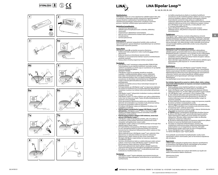













**70 W 55 W** 

 $\%$ 

 $\mathbf{c}$ 





## **LiNA Bipolar Loop™**

BL-160, BL-200, BL-240

LiNA Bipolar Loop™ on 5 mm:n bipolaarinen sähkökirurginen laite, joka on tarkoitettu mobilisoidun kohdun amputointiin laparoskooppisen supraservikaalisen (subtotaalisen) hysterektomian aikana ja verenkierrosta poistettujen subseroosien varrellisten myoomien poistoon. Käytetään sähkökirurgisen generaattorin kanssa.

#### **Mahdolliset komplikaatiot:** • muuntaminen laparotomiaan;

- sähkökirurgiset komplikaatiot (esim. eristevika, sähköisku);
- verenvuoto;
- implantoitavan sähkölaitteen toimintahäiriö;
- pieni tai suuri suolistovamma mukaan lukien perforaatio; • virtsatievamma;
- virtsatte varinna,<br>• termiset palovammat.

#### **Potilasryhmät:**

Kaikenikäiset ja -painoiset naispuoliset henkilöt, jotka soveltuvat laparoskooppiseen supraservikaaliseen hysterektomiaan tai varrellisten subseroosien myoomien poistoon.

#### **Vasta-aiheet:**

- LiNA Bipolar Loopia **EI** saa käyttää seuraavissa tilanteissa: • Kohdunsolan koko ympärystä ei voida visualisoida ennen laitteen aktivoimista.
- Kohtu tai myooma on kiinnittynyt viereisiin elimiin. Potilaalla on suuri posteriorinen kohdun myooma tai kohdunkaulan seinämän myoomia.
- Raskausviikon 20 kohtua laajemman kohdun amputointi.

#### **Varoitukset:**

- LiNA Bipolar LoopTM toimitetaan etyleenioksidilla STERILOITUNA. Tarkista pakkaus ennen käyttöä huolellisesti vaurioiden varalta. Laitetta EI saa käyttää, jos steriili suoja on vaurioitunut. EI saa käyttää viimeisen käyttöpäivän jälkeen. **· KERTAKÄYTTÖINEN**
- LiNA Bipolar Loopia EI saa käyttää, käsitellä tai steriloida uudelleen. Uudelleenkäsittelyn jälkeen tuote ei välttämättä toimi oikein. Kertakäyttöisten laitteiden uudelleenkäyttö voi lisätä ristikontaminaation riskiä. Jos laitetta yritetään puhdistaa, seurauksena voi olla laitteen toimintahäiriö ja/tai LiNA Bipolar Loopissa olevasta jäännöskudoksesta johtuva virheellinen patologianäyte.
- Laitetta EI saa käyttää samassa tilassa tulenarkojen kaasujen tai nesteiden kanssa.
- ÄLÄ käytä laitetta, jos LiNA Bipolar LoopTM on taipunut tai vääntynyt, sen muoto on muuttunut tai se ei avaudu kokonaan alkuperäiseen vinokaiteen muotoon, kun laitteen kahva työnnetään ääriasentoon eteen.
- LiNA Bipolar LoopinTM alkuperäistä vinokaiteen muotoa ja elektrodin eristystä EI saa muuttaa.
- LiNA Bipolar LoopinTM on oltava riittävän suuri, jotta se yltää kohdun runko-osan tai myooman ympäri. Pujota silmukka kohdunkaulan tai myooman varren ympärille.
- Ennen generaattorin aktivoimista tarkista aina, että elektrodin aktiivinen (eli eristämätön) osa ei kosketa muita elimiä kuin kohtua tai myoomaa (esimerkiksi suolta tai verisuonta). • ÄLÄ aktivoi LiNA Bipolar Loopia, jos leikkaavaa silmukkaa ei ole
- mahdollista visualisoida.
- **• POISTA kohdun manipulaattori ennen LiNA Bipolar LoopinTM aktivoimista.** LiNA Bipolar LoopinTM kanssa tulee käyttää **vain** SÄHKÖÄ JOHTAMATTOMASTA aineesta (esimerkiksi muovis valmistettua manipulaattoria.
- **• POISTA kohdunsisäinen ehkäisin (IUD) kohdusta, ennen kuin aktivoit LiNA Bipolar LoopinTM.**
- LiNA Bipolar Loopia EI tule käyttää potilailla, joilla virtsarakkoa ei voi kokonaan irrottaa kohdun alemmasta anteriorisesta osasta virtsarakon vahingoittumisen vaaran vuoksi.
- LiNA Bipolar LoopinTM johto EI saa koskettaa potilaan tai kirurgin ihoa sähkökirurgisen käytön aikana.
- ÄLÄ käytä liiallista voimaa/painoa LiNA Bipolar Loopia käyttäessä. Se voisi vahingoittaa laitetta tai aiheuttaa kohdun tai myooman kuroutumisen ja mekaanisen leikkautumisen, jolloin vaarana on liian runsas verenvuoto.
- Aktivoi elektrodi ennen LiNA Bipolar Loopin™ pois vetämistä. Virhe aktivoinnissa voi aiheuttaa kohdun tai myooman mekaanisen leikkautumisen, jolloin vaarana on liian runsas verenvuoto.
- Älä käytä LiNA Bipolar Loopia kohdun tai myooman viipalointiin morselloinnin sijasta.
- Varmista, että keraaminen kärki on vedetty kokonaan sisään varteen/ putkeen, ennen kuin irrotat LiNA Bipolar Loopin<sup>TM</sup> troakaarin läpi, jotta keraaminen kärki ei jää kiinni venttiilin läppään. • Hävitä tuote pakkauksineen käytön jälkeen sairaalan käytännön,
- viranomaisvaatimusten ja/tai kansallisen lainsäädännön mukaisesti. • ÄLÄ aktivoi, jos LiNA Bipolar LoopinTM eristämättömät johdot ovat kosketuksissa metalliesineiden kanssa.

#### **Varotoimet:**

• LiNA Bipolar LoopinTM käyttö edellyttää asianmukaista koulutusta sekä kokemusta laparoskooppisen hysterektomian ja myomektomian suorittamisesta.

- Jos kaikkia asiaankuuluvia ohjeita ei noudateta huolellisesti, seurauksena voi olla merkittävä potilaan, lääkärin tai muun avustajan vamma ja haitallinen vaikutus tehtävän toimenpiteen tuloksiin.
- Asianmukaisiin varotoimiin tulee ryhtyä, jos asiakkaalla on implantoitu elektroninen laite (IED). Leikkaustiimin tulee konsultoida implanttia hallinnoivaa tiimiä ennen leikkausta ja tarpeen mukaan. Kun LiNA Bipolar LoopTM on aktivoitu, se tulee pitää yli 1 cm:n
- (½ tuuman) etäisyydellä IED:stä. • Käytä LiNA Bipolar Loopia huolellisesti muiden terävien
- työkalujen kanssa, sillä johtimen eristysvaurio voi johtaa laitteen toimintahäiriöön.

#### **Tuotekuvaus:**

LiNA Bipolar LoopTM koostuu mustasta ulkoputkesta ja sinisestä sisäputkesta, johon laitteen kahva kiinnitetään. Vinokaiteen muotoinen silmukka kiinnitetään sisäputkeen, ja sitä viedään eteenpäin pitämällä kiinni mustan ulomman putken yläosasta ja työntämällä samalla sinistä kahvaa eteenpäin. Voit vetää silmukan sisään vetämällä sinistä kahvaa varovasti toisella kädellä ja pitelemällä samalla mustaa ulkoputkea toisella kädellä.

**fi**

#### **Generaattorin tekniset tiedot & asetukset:**

LiNA Bipolar Loop™ on yhteensopiva useimpien vakiomallisten sähkökirurgisten generaattoreiden kanssa, joissa on kaksinapainen lähtöliitäntä (kiinteä 2-nastainen 4 mm:n pistoke 29 mm:n etäisyydellä). • Generaattorin suositeltu asetus on 55–70 wattia. Käytä pienimpiä

- mahdollisia asetuksia, joilla saavutetaan haluttu kirurginen vaikutus. • Käytä kaksinapaista jalkapoljinta.
- Käytä vähintään taajuusalueella 350–472 kHz toimivia sähkökirurgisia generaattoreita, jotka tarjoavat 55–70 wattia kaksinapaista sähkövirtaa.

#### **Käyttöohjeet:**

<u>Nämä tiedot koskevat vain LiNA Bipolar Loopin™ käyttöä. Tietoien</u> tarkoituksena ei ole esitellä laparoskopiatekniikoita tai -toimenpiteitä. Tarkista asianmukaiset tekniikat, komplikaatiot ja riskit tunnustetuista lääketieteellisistä julkaisuista ennen laparoskooppisiin toimenpiteisiin ryhtymistä. Tarkista vasta-aiheet käytettävän sähkökirurgisen generaattorin ja/tai laparoskoopin valmistajan toimittamista käyttöohjeista.

Lue käyttöohjeet ennen tämän laitteen käyttöä!

### **Kun kohdun ligamentit ja suonet on sidottu oikein, kohtu voidaan amputoida kohdunkaulasta tai myooma varrestaan noudattamalla seuraavia ohjeita:**

- 1. Tarkista pakkaus ennen käyttöä huolellisesti vaurioiden varalta. ÄLÄ yritä käyttää laitetta, jos steriili suojus on vaurioitunut. 2. Kytke LiNA Bipolar LoopTM generaattorin kaksinapaiseen lähtöön. Säädä generaattori 55–70 watin välille generaattorin tyypin mukaan.
- 3. Vie LiNA Bipolar LoopTM varovaisesti 5 mm:n troakaarin läpi.
- 4. **a.** Taita elektrodi (silmukka) auki työntämällä kahvaa eteenpäin. Kahva on työnnettävä eteenpäin ääriasentoon ja silmukka on avattava kokonaan ennen sen asettamista kohdun rungon tai myooman ympärille.
- **b.** Aseta elektrodi (silmukka) kohdun rungon tai myooman ympärille tarraimien ja kohdun manipulaattorin avulla. 5. Varmista aina ennen generaattorin aktivoimista, että elektrodin
- aktiivinen (eli eristämätön) osa ei kosketa muita elimiä kuin kohtua tai myoomaa (esim. suolta tai verisuonta).
- 6. **a.** Kiristä silmukka varovasti kohdun rungon alaosan (kohdunkaulan yläpuolelle) tai myooman varren ympärille. **b. POISTA** kohdun manipulaattori löysäämällä silmukkaa hieman.
- 7. **a.** Aktivoi LiNA Bipolar Loop™ painamalla kaksinapaista poljinta. Odota kaksinapaista sähkövirtaa ennen kohdun tai myooman leikkaamista. Silmukan välitön vetäminen sisään voi aiheuttaa tahattoman mekaanisen leikkauksen.
- **b.** Älä aktivoi elektrodeja kohdun tai myooman amputoinnin jälkeen kohdun tai myooman käsittelemiseksi tai jakamiseksi. 8. Kun kohtu on amputoitu kohdunkaulasta, varmista, että
- mahdollisesti endometriumsoluja sisältävä kohdunkaulakanavan proksimaalinen osa on koaguloitunut. Varmista, että kaikki kohdunkaulan tyngän verenvuoto tai eritys on koaguloitunut.
- 9. Poista LiNA Bipolar LoopTM troakaarin läpi. 10. Hävitä LiNA Bipolar LoopTM käytön jälkeen.

Anna potilaalle seurantaohjeet komplikaatioiden varalta, kuten vatsaontelon sisäisen verenvuodon, joka voi harvinaisissa tapauksissa olla voimakasta.

#### **Raportointi:**

**Laitteen käytön yhteydessä tapahtuneista vakavista vaaratilanteista** on ilmoitettava LiNA Medical ApS:lle sekä käyttäjän ja/tai potilaan kotimaan toimivaltaiselle sääntelyviranomaiselle.

**Huomio:** Yhdysvaltain liittovaltion lain mukaan tätä laitetta saa myydä vain lääkäri tai koulutetun lääkärin tilauksesta.

Valmistusmaa: Puola. CE-merkintä 2012.

## **Käyttötarkoitus:**

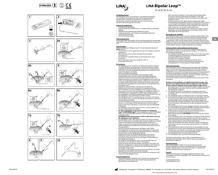













**70 W 55 W** 

 $\%$ 

 $\mathbf{c}$ 





## **LiNA Bipolar Loop™**

BL-160, BL-200, BL-240

**<u>Verwendungszweck:</u>**<br>Die LiNA Bipolar Loop™ ist ein bipolares 5-mm-Elektrochirurgiegerät zur Amputation des mobilisierten Uterus bei der laparoskopischen suprazervikalen (subtotalen) Hysterektomie und Resektion von devaskulierten subserösen gestielten Myomen. Zur Verwendung mit einem elektrochirurgischen Generator.

### **Mögliche Komplikationen:**

- umstellung auf Laparotomie; • elektrochirurgische Komplikationen (z. B. Isolationsfehler, Stromschlag);
- blutung;<br>• fehlfunktion des implantierbaren elektrischen Geräts;
- verletzung des Dünn- oder Dickdarms einschließlich Perforation;
- verletzung der Harnwege; • thermische Verbrennungen.

### **Patientenpopulation:**

Frauen jeden Alters und Gewichts, die für eine laparoskopische suprazervikale Hysterektomie oder eine Entfernung subseröser gestielter Myome vorgesehen sind.

#### **Gegenanzeigen:**

<u>Die Verwendung</u> der LiNA Bipolar Loop™ ist in den folgenden Situationen **NICHT** zulässig:

- Wenn der Uterus Isthmus vor der Aktivierung nicht umfänglich visualisiert werden kann. • Wenn der Uterus oder das Myom mit benachbarten Organen
- verwachsen ist. • Bei Patientinnen mit großem Myom an der hinteren Uterus- oder
- Cervixwand. • Bei der Amputation eines Uterus größer als in der 20. Schwangerschaftswoche

#### **Warnhinweise:**

- Die LiNA Bipolar LoopTM wird durch ein Ethylenoxid-Verfahren sterilisiert und STERIL geliefert. Die Verpackung vor der Verwendung des Produkts sorgfältig auf jedwede Beschädigungen untersuchen. Verwenden Sie das Gerät NICHT, wenn die Sterilbarriere beschädigt ist. Das Gerät NICHT nach seinem Ablaufdatum verwenden. • NUR zur einmaligen Verwendung.
- Die LiNA Bipolar LoopTM darf NICHT erneut verwendet, wieder aufbereitet oder erneut sterilisiert werden. Bei Wiederaufbereitung könnten die Funktionen des Instruments beeinträchtigt werden. Die Wiederverwendung von Produkten zum Einmalgebrauch kann zudem das Risiko von Kreuzkontaminationen erhöhen. Jeder Versuch, das Instrument zu reinigen, birgt das Risiko einer Fehlfunktion des Geräts und/oder der Entnahme falsch pathologischer Proben aufgrund von Restgewebe in der LiNA Bipolar LoopTM.
- Benutzen Sie das Gerät NICHT, wenn Sie sich in der Nähe von entflammbaren Gasen oder entzündlichen Flüssigkeiten aufhalten.
- NICHT verwenden, wenn die LiNA Bipolar Loop™ verbogen, verdreht oder verformt ist oder sich bei vollständigem Vorschieben des Griffs nicht
- vollständig in ihrer ursprünglichen rautenförmigen Gestaltung öffnet. Die ursprüngliche rautenförmige Gestaltung und die Elektroden-Isolierung Die ursprüngliche nautenformige Gestaltung und die Elektrische der LiNA Bipolar Loop™ dürfen NICHT verändert werden.
- Die LiNA Bipolar Loop™ muss groß genug sein, um um den Uteruskörper<br>oder das Myom herum zu passen. Die Schlinge anschließend um die Cervix oder den Myomschaft legen. • Vor dem Einschalten des Generators ist immer zu kontrollieren, dass der
- aktive (d. h. nicht isolierte) Teil der Elektrode nicht mit einem anderen Organ als dem Uterus oder Myom (z. B. dem Darm oder einem Blutgefäß) in Kontakt ist.
- Die LiNA Bipolar LoopTM NICHT aktivieren, wenn es nicht möglich ist, die Schneidschlinge sichtbar darzustellen.
- **• Der Uterusmanipulator ist vor dem Einschalten der LiNA Bipolar LoopTM zu ENTFERNEN. Nur** ein Uterusmanipulator aus NICHT LEITENDEM <u>Material (z. B. Kunststoff) darf zusammen mit der LiNA Bipolar Loop™</u> verwendet werden.
- **• ENTFERNEN Sie das Intrauterinpessar (IUP) aus dem Uterus, bevor Sie die LiNA Bipolar Loop™ aktivieren.**<br>• Die LiNA Bipolar Loop™ sollte wegen des Risikos einer Blasenverletzung
- NICHT bei Patientinnen verwendet werden, bei denen die Blase am unteren vorderen Uterinsegment nicht vollständig disseziert werden kann. • Achten Sie darauf, dass das Kabel der LiNA Bipolar LoopTM während der
- elektrochirurgischen Verwendung NICHT die Haut des Patienten oder des Chirurgen berührt. • Wenden Sie bei der Verwendung der LiNA Bipolar LoopTM KEINE übermäßige Kraft auf. Dies könnte zu Beschädigungen am Produkt oder
- zum Einklemmen und mechanischen Abtrennen des Uterus oder Myoms mit dem Risiko von übermäßiger Blutung führen. • Stellen Sie sicher, dass Sie die Elektrode aktivieren, bevor Sie die
- LiNA Bipolar LoopTM zurückziehen. Die Nichtaktivierung könnte zu mechanischem Abtrennen des Uterus oder Myoms mit dem Risiko von übermäßiger Blutung führen.
- Verwenden Sie die LiNA Bipolar Loop™ nicht als eine Alternative zur<br>Morcellation zum Schneiden von Uterus oder Myomen. • Achten Sie darauf, dass die Keramikspitze vollständig in den Schaft / das
- Röhrchen zurückgezogen ist, bevor Sie die LiNA Bipolar Loop™ durch den<br>Trokar herausziehen, um zu verhindern, dass die Keramikspitze in der Ventilklappe hängen bleibt. • Das Produkt und die Verpackung nach Gebrauch gemäß den in der Klinik
- geltenden bzw. gesetzlichen Vorschriften entsorgen.<br>• NICHT aktivieren, wenn die nicht isolierten Drähte des LiNA Bipolar Loop™, in Kontakt mit Metallobjekten sind.

### **Vorsichtsmaßnahmen:**

<u>• Die Verwendung der LiNA Bipolar Loop™ erfordert eine entsprechende</u> Ausbildung und Erfahrung bei der Durchführung laparoskopischer Myomektomie und Hysterektomie.

- Wenn nicht alle anwendbaren Anweisungen genau befolgt werden, kann dies zu schweren Verletzungen des Patienten, Arztes oder anwesender Personen führen und sich nachteilig auf das Ergebnis des Eingriffs auswirken.
- Bei Patientinnen mit einem elektronischen Implantat (IED) sollten Vorsichtsmaßnahmen getroffen werden. Das perioperative Team sollte sich vor dem Eingriff und bei Bedarf mit dem Team absprechen, welches das ior dem Eingim dina ser sedam mit dem ream assprechen, weienes da.<br>Implantierte Gerät verwaltet. Wenn die LiNA Bipolar Loop™ aktiviert ist. sollte sie mehr als 1 cm (½ Zoll) vom IED entfernt sein.
- Verwenden Sie die LiNA Bipolar LoopTM vorsichtig mit anderen scharfen Werkzeugen, da die Beschädigung der Isolierung des Drahtes zu einer Fehlfunktion des Geräts führen kann.

#### **Beschreibung des Produkts:**

Die LiNA Bipolar Loop™ besteht aus einem schwarzen Außenröhrchen und<br>einem blauen Innenröhrchen, an dem der Griff der Vorrichtung befestigt ist. Die rautenförmige Schlaufe ist am Innenröhrchen befestigt und wird vorgeschoben, indem man den oberen Teil des schwarzen Außenröhrchens festhält, während man den blauen Griff nach vorne schiebt. Um die Schlaufe einzuziehen, ziehen Sie vorsichtig mit einer Hand am blauen Griff, während Sie mit der anderen Hand das schwarze Außenröhrchen festhalten.

#### **Technische Daten und Einstellungen des Generators:**

Die LiNA Bipolar Loop<sup>TM</sup> ist mit den meisten Standard-Elektrochirurgie-Generatoren mit bipolarem Ausgang (fester 2-poliger 4-mm-Stecker mit 29 mm Abstand) kompatibel.

- Die empfohlene Einstellung für den Generator ist 55–70 Watt. Verwenden Sie die kleinstmöglichen Einstellungen, mit denen der gewünschte chirurgische Effekt erzielt werden kann.
- Verwenden Sie ein bipolares Fußpedal.
- Verwenden Sie nur elektrochirurgische Generatoren, die im Frequenzbereich 350 bis 472 KHz arbeiten und mindestens den Leistungsbereich 55–70 Watt bipolarer Energie abdecken.

**Gebrauchsanweisung:** Diese Information dient zur Erläuterung der Verwendung der LiNA Bipolar LoopTM. Sie dient nicht dazu, laparoskopische Techniken oder Verfahren zu zeigen. Bevor Sie eine Laparoskopie durchführen, konsultieren Sie bitte veröffentlichte und anerkannte medizinische Literatur in Bezug auf geeignete Techniken, Komplikationen und Risiken. Kontraindikationen sind in der vom Hersteller des elektrochirurgischen Generators und/oder Laparoskops bereitgestellten Gebrauchsanweisung aufgeführt. Lesen Sie die Gebrauchsanweisung aufmerksam durch, bevor Sie das Gerät verwenden!

### **Nachdem die Uterusbänder und -gefäße korrekt ligiert wurden, kann der Uterus vom Gebärmutterhals oder das Myom vom Stiel amputiert werden, wobei die folgenden Anweisungen befolgt werden müssen:**

- 1. Die Verpackung vor der Verwendung des Produkts sorgfältig auf jedwede Beschädigungen untersuchen. Das Gerät NICHT verwenden, wenn die Sterilbarriere beschädigt ist.
- 2. Die LiNA Bipolar LoopTM an den bipolaren Ausgang des Generators anschließen. Stellen Sie den Generator je nach Generatortyp zwischen 55–70 Watt ein.
- 3. Die LiNA Bipolar LoopTM vorsichtig durch einen 5 mm Trokar einführen. 4. **a.** Die Elektrode (Schlinge) durch Vorschieben des Griffs öffnen. Der Griff muss ganz vorgeschoben und die Schlinge vollständig geöffnet sein, ehe die Schlinge um den Uteruskörper oder das Myom gelegt wird. **b.** Die Elektrode (Schlinge) mithilfe eines oder mehrerer Greifer und des Uterusmanipulators ordnungsgemäß um den Uteruskörper oder das
- Myom legen. 5. Vor dem Aktivieren des Generators immer sicherstellen, dass der aktive (d. h. nicht isolierte) Teil der Elektrode nicht in Kontakt mit einem anderen Organ (z. B. Darm oder Gefäß) als dem Uterus oder Myom ist.
- 6. **a.** Die Schlinge vorsichtig um den unteren Teil des Uteruskörpers (oberhalb der Cervix) oder den Myomstamm anziehen. **b.** Den Uterusmanipulator **ENTFERNEN** und die Spannung der Schlinge etwas lockern.
- 7. **a.** Die LiNA Bipolar LoopTM durch Betätigen des bipolaren Pedals aktivieren. Unbedingt die bipolare Energie abwarten, bevor der Uterus oder das Myom geschnitten wird. Ein sofortiges Zurückziehen der Schlaufe kann zu einem unbeabsichtigten mechanischen Schnitt führen. **b.** Nach der Amputation des Uterus oder Myoms dürfen die Elektroden nicht aktiviert werden, um den Uterus oder das Myom zu manipulieren oder zu teilen.
- 8. Nach Abtrennen des Uterus von der Cervix ist sicherzustellen, dass der proximale Abschnitt des Gebärmutterhalskanals, der Endometriumzellen enthalten kann, verschlossen wird und dass ggf. auftretende starke oder schwache Blutungen am Cervixstumpf gestoppt werden.
- Die LiNA Bipolar Loop™ durch den Trokar entfernen. 10. Die LiNA Bipolar Loop™ nach der Verwendung entsorger

Die Patientin über die Nachsorge im Falle von Komplikationen wie intraabdominalen Blutungen, die in seltenen Fällen zu Exsanguination führen können, aufklären.

#### **Berichterstattung:**

Jeder schwerwiegende Vorfall, der im Zusammenhang mit dem Produkt aufgetreten ist, sollte an LiNA Medical ApS und die zuständige Regulierungsbehörde des Landes gemeldet werden, in welchem der Benutzer und/oder der Patient ansässig sind.

#### **Vorsicht:**

Gemäß US-amerikanischer Bundesgesetzgebung darf dieses Gerät ausschließlich von einem ausgebildeten Arzt oder auf dessen Anordnung hin verkauft werden.

Herstellungsland: Polen. CE-Kennzeichnung 2012.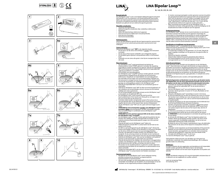











**70 W 55 W** 

 $\mathbf{c}$ 









## **LiNA Bipolar Loop™**

BL-160, BL-200, BL-240

#### **Beoogd gebruik:**

De LiNA Bipolar LoopTM is een 5 mm bipolair elektrochirurgisch instrument dat bedoeld is voor het amputeren van de gemobiliseerde baarmoeder tijdens een laparoscopische supracervicale (subtotale) hysterectomie en de resectie van gedevasculariseerde subserosale pedunculaire myomen. Bedoeld voor gebruik met een elektrochirurgische generator.

#### **Mogelijke complicaties:** • conversie naar laparotomie;

- elektrochirurgische complicaties (bijv. isolatiefout, elektrocutie);
- bloedingen; • defect bij implanteerbaar elektronisch apparaat;
- letsel aan de dunne of dikke darm inclusief perforatie;
- letsel aan de urinewegen;
- thermische brandwonden.

#### **Patiëntpopulatie:**

Vrouw van elke leeftijd en gewicht die een laparoscopische supracervicale hysterectomie of een subserosale penduculaire myomectomie moet ondergaan.

#### **Contra-indicaties:**

Gebruik de LiNA Bipolar LoopTM **NIET** in de volgende situaties: Als de istmus van de uterus niet zichtbaar is voordat u het instrument inschakelt.

- Als de uterus of het myoom verkleefd is aan omliggende organen. Als de patiënt grote myomen in de posterieure uterus- of cervixwand heeft.
- Amputatie van een uterus die groter is dan bij een zwangerschap in de 20e week.

#### **Waarschuwingen:**

- De LiNA Bipolar Loop™ wordt gesteriliseerd met behulp van ethyleenoxide en wordt STERIEL geleverd. Controleer de verpakking zorgvuldig op schade voorafgaand aan gebruik. Gebruik het hulpmiddel NIET als de steriele barrière is beschadigd. Gebruik het hulpmiddel NIET nadat de vervaldatum is verstreken.
- UITSLUITEND voor eenmalig gebruik. De LiNA Bipolar Loop™ mag NIET opnieuw worden gebruikt, verwerkt of gesteriliseerd. Hergebruik kan de werking van het instrument belemmeren. Hergebruik van hulpmiddelen voor eenmalig gebruik kan ook leiden tot een hoger risico op kruisbesmetting. Pogingen om het instrument te reinigen kunnen tot een verminderde werking leiden en/of tot de verzameling van verkeerde pathologische preparaten ten gevolge van achtergebleven weefsel in de LiNA Bipolar Loop™.<br>• Gebruik het hulpmiddel NIET in de buurt van ontvlambare gassen of
- vloeistoffen. • Gebruik de LiNA Bipolar Loop<sup>TM</sup> NIET als deze vervormd of gedraaid is of
- niet volledig tot de oorspronkelijke ruitvorm uitvouwt als het handvat volledig naar voren is geschoven. · Pas het oorspronkelijke ruitvormige ontwerp van de LiNA Bipolar Loop
- en de isolatie van de elektrode NIET aan.
- De LiNA Bipolar Loop™ moet zo groot zijn dat hij rond het baarmoederlichaam of het myoom past. Breng de lus vervolgens rond de cervix of de steel van de myoom aan.
- Controleer altijd voordat u de generator aanzet of het actieve (d.w.z. niet-geïsoleerde) deel van de elektrode niet in contact komt met andere organen dan de uterus of het myoom (bijv. darmen of bloedvaten). • Zet de LiNA Bipolar LoopTM NIET aan als u geen zicht kunt krijgen op de
- snijlus. **• VERWIJDER de uterusmanipulator voordat u** de LiNA Bipolar Loop™ **inschakelt. Alleen** uterusmanipulators van NIET-GELEIDEND materiaal (bijv. kunststof) mogen in combinatie met de LiNA Bipolar Loop<sup>TM</sup>
- worden gebruikt.<br>worden gebruikt.<br>VERWIJDER het intra-uteriene apparaat (IUD) uit de uterus voordat u **• VERWIJDER het intra-uteriene apparaat (IUD) uit de uterus voordat u de LiNA Bipolar LoopTM inschakelt.**  • De LiNA Bipolar LoopTM mag NIET worden gebruikt bij patiënten bij wie
- de blaas niet volledig kan worden doorgesneden ter hoogte van het onderste anterieure baarmoedersegment wegens het risico op letsel aan de blaas.
- Zorg dat de kabel van de LiNA Bipolar LoopTM tijdens de elektrochirugische activatie NIET in contact komt met de huid van de
- patiënt of de chirurg. Zet NIET te veel kracht/gewicht op de LiNA Bipolar LoopTM. Dit kan het product beschadigen of leiden tot het afknellen en mechanisch afsnijden van de uterus of het myoom met risico op overmatige bloeding. Zorg dat u de elektrode inschakelt voordat u de LiNA Bipolar Loop™
- terugtrekt. Als de activering mislukt, kan dit leiden tot een mechanisch afsnijden van de uterus of het myoom met risico op overmatige bloeding.
- Gebruik de LiNA Bipolar LoopTM niet voor het verwijderen van weefsel of myomen uit de baarmoeder als alternatief voor morcellatie. • Zorg dat de keramische tip volledig in de schacht/buis is teruggetrokken
- voordat u de LiNA Bipolar LoopTM door de trocar haalt, om te voorkomen dat de keramische tip in de flap van de klep vast komt te zitten.
- Het product en de verpakking dienen na gebruik te worden afgevoerd overeenkomstig het beleid van het ziekenhuis en administratieve en/of lokale overheden.
- Schakel het hulpmiddel NIET in als de niet-geïsoleerde draden van de LiNA Bipolar LoopTM in contact komen met metalen voorwerpen.

#### **Voorzorgsmaatregelen:**

- Het gebruik van de LiNA Bipolar Loop™ vereist adequate training alsmede ervaring met het uitvoeren van laparoscopische hysterectomieën en myomectomieën.
- Het niet strikt opvolgen van alle toepasselijke instructies kan leiden tot aanzienlijke verwondingen aan de patiënt, arts of aanwezigen en kan de resultaten van de uitgevoerde procedures nadelig beïnvloeden.
- Er moeten voorzorgsmaatregelen worden genomen wanneer de patiënt een geïmplanteerd elektronisch apparaat heeft. Het perioperatief team dient vóór de operatie en wanneer nodig te overleggen met het team dat het geïmplanteerde apparaat beheert. Wanneer de LiNA Bipolar LoopTM geactiveerd is, moet deze op meer dan 1 cm (½ inch) van het geïmplanteerde elektronische apparaat worden gehouden.
- Wees voorzichtig met het gebruik van de LiNA Bipolar LoopTM in combinatie met ander scherp gereedschap, omdat beschadiging van de draadisolatie kan leiden tot defecten aan het apparaat.

**Productomschrijving:**<br>De LiNA Bipolar Loop™ bestaat uit een zwarte buitenbuis en een blauwe binnenbuis waaraan het handvat van het apparaat is bevestigd. De ruitvormige lus is bevestigd aan de binnenbuis en wordt voortbewogen door het bovenste deel van de zwarte buitenbuis vast te houden en tegelijkertijd het blauwe handvat naar voren te duwen. Om de lus in te trekken, trekt u voorzichtig met één hand aan het blauwe handvat terwijl u met de andere hand de zwarte buitenbuis vasthoudt.

#### **Specificaties en instellingen van de generator:**

De LiNA Bipolar Loop™ is compatibel met de meeste standaard elektrochirurgische generatoren met bipolaire uitgang (vaste 2-pins 4 mm stekker met een afstand van 29 mm).

- De aanbevolen instelling voor de generator is 55-70 watt. Gebruik de laagst mogelijke instellingen om het gewenste chirurgische effect te bereiken.
- Gebruik een bipolair voetpedaal.
- Gebruik alleen elektrochirurgische generatoren die werken in het frequentiegebied van ten minste 350 tot 472 kHz, met een vermogensbereik van 55-70 watt aan bipolaire energie.

#### **Gebruiksaanwijzingen:**

Deze informatie wordt verstrekt voor het gebruik van de LiNA Bipolar LoopTM. Deze informatie vormt geen demonstratie van laparoscopische technieken of procedures. Raadpleeg gepubliceerde en erkende medische literatuur vóór aanvang van elke laparoscopische procedure om op de hoogte te zijn van de juiste technieken, complicaties en gevaren. Raadpleeg de gebruiksaanwijzing van de fabrikant van de elektrochirurgische generator en/of laparoscoop die u gaat gebruiken, in verband met contraindicaties.

Lees de gebruiksinstructies voordat u dit hulpmiddel gebruikt!

### **Nadat de ligamenten en bloedvaten van de uterus op de juiste manier zijn afgebonden, kan de uterus geamputeerd worden van de cervix of**

- **de myoom van de steel, met behulp van de onderstaande instructies:** 1. Controleer de verpakking zorgvuldig op schade voorafgaand aan gebruik. Gebruik het hulpmiddel NIET als de steriele barrière is **beschadigd.**
- 2. Sluit de LiNA Bipolar LoopTM aan op de bipolaire uitgang van de generator. Stel de generator in tussen 55-70 watt, afhankelijk van het <u>.</u><br>tyne generator
- 3. Breng de LiNA Bipolar LoopTM voorzichtig in via een 5 mm trocar. 4. **a.** Vouw de elektrode (lus) uit door het handvat naar voren te schuiven. Het handvat moet volledig naar voren zijn geschoven en de lus moet volledig zijn uitgevouwen voor u de lus rond het baarmoederlichaam of myoom plaatst.
- **b.** Gebruik de grijper(s) en de uterusmanipulator om de elektrode (lus) rond het baarmoederlichaam of myoom te plaatsen.
- 5. Voordat u de generator inschakelt, controleert u altijd of het actieve (d.w.z. niet-geïsoleerde) deel van de elektrode niet in contact komt met andere organen dan de uterus of het myoom (bijv. darmen of bloedvaten).
- 6. **a.** Trek de lus voorzichtig aan rond het onderste gedeelte van het baarmoederlichaam (boven de cervix) of de steel van de myoom. **b. VERWIJDER** de uterusmanipulator en verminder de spanning van de lus een beetje.
- 7. **a.** Activeer de LiNA Bipolar Loop™ door het bipolaire pedaal in te drukken. Wacht op de bipolaire energie voordat u de uterus of het myoom wegsnijdt. Onmiddellijk terugtrekken van de lus kan een onbedoelde mechanische snede veroorzaken.
- **b.** Nadat de uterus of het myoom is geamputeerd, mag u de elektroden niet activeren om de uterus of het myoom te manipuleren of door te snijden.
- 8. Controleer na het amputeren van de baarmoederhals of het proximale gedeelte van het endocervicale kanaal, dat endometriumcellen zou kunnen bevatten, gecoaguleerd is en controleer of de cervixstomp voldoende gecoaguleerd is, zodat deze niet meer bloedt of lekt. Verwijder de LiNA Bipolar Loop™ via de trocar.
- 10. Gooi de LiNA Bipolar Loop™ weg na gebruik.

Geef patiënten altijd instructies voor de follow-up in het geval van complicaties, waaronder intra-abdominale bloedingen, die in zeldzame gevallen leiden tot uitbloeding.

#### **Meldingen:**

Ernstige incidenten die zijn opgetreden met betrekking tot dit hulpmiddel, moeten worden gemeld bij LiNA Medical ApS en de bevoegde regelgevende instantie van het land waarin de gebruiker en/of patiënt zich bevindt.

**Let op:** Volgens de federale wetgeving (VS) mag dit hulpmiddel uitsluitend door of in opdracht van een opgeleide arts worden verkocht.

Land van oorsprong: Polen. CE-markering: 2012.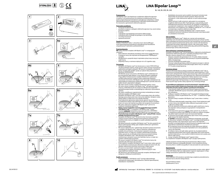











**70 W 55 W** 

 $\mathbf{c}$ 









## **LiNA Bipolar Loop™**

BL-160, BL-200, BL-240

#### **Przeznaczenie:**

LiNA Bipolar LoopTM jest bipolarnym urządzeniem elektrochirurgicznym o średnicy 5 mm przeznaczonym do amputacji zmobilizowanej macicy podczas laparoskopowej histerektomii nadszyjkowej (subtotalnej) i resekcji zdewaskularyzowanych uszypułowanych mięśniaków podśluzówkowych. Do stosowania z generatorem elektrochirurgicznym.

#### **Potencjalne powikłania:** • konwersja do laparotomii;

- powikłania związane z zabiegiem elektrochirurgicznym (np. awaria izolacji, porażenie prądem);
	- krwotok;
- uszkodzenie wszczepialnego instrumentu elektrycznego;
- uszkodzenie jelita cienkiego lub grubego w tym perforacja; • uraz dróg moczowych;
- oparzenia termiczne.

### **Populacja pacjentów:**

Kobiety w dowolnym wieku i o dowolnej masie ciała kwalifikujące się do laparoskopowej histerektomii nadszyjkowej lub miomektomii uszypułowanych mięśniaków podśluzówkowych.

#### **Przeciwwskazania:**

**NIE** wolno stosować narzędzia LiNA Bipolar Loop™ w następujących sytuaciach:

- Brak możliwości obwodowej wizualizacji cieśni macicy przed aktywacją. • Przyleganie macicy lub mięśniaka do któregokolwiek z sąsiadujących narządów.
- Występowanie u pacjentki dużych mięśniaków tylnej ściany macicy lub szyjki macicy.
- Amputacja macicy o rozmiarze większym niż w 20. tygodniu ciąży.

- **Ostrzeżenia:**<br>• Narzędzie LiNA Bipolar Loop™ jest dostarczane w stanie STERYLNYM (po sterylizacji tlenkiem etylenu). Przed użyciem należy starannie skontrolować opakowanie pod kątem uszkodzeń. NIE używać w przypadku uszkodzenia bariery sterylnej. NIE UŻYWAĆ sprzętu po upływie daty przydatności. • Wyrób jest JEDNORAZOWY.
- NIE WOLNO używać instrumentu LiNA Bipolar LoopTM wielokrotnie ani go resterylizować bądź odkażać w inny sposób. Wszelkie modyfikacje mogą zakłócić funkcjonowanie narzędzia. Wielokrotne użytkowanie wyrobów jednorazowych zwiększa ryzyko wzajemnego zakażenia. Czyszczenie instrumentu LiNA Bipolar LoopTM grozi jego uszkodzeniem lub nieprawidłowym pobieraniem próbek patologicznych z powodu obecności śladów tkanek z poprzednich zabiegów.
- NIE wolno używać wyrobu w pobliżu łatwopalnych gazów i cieczy. • NIE wolno używać narzędzia LiNA Bipolar Loop<sup>TM</sup>, jeśli pętla jest zagięta, skręcona, zniekształcona lub nie rozwija się całkowicie do oryginalnie
- zaprojektowanego kształtu romboidalnego po całkowitym wprowadzeniu uchwytu. • NIE należy modyfikować oryginalnej konstrukcji romboidalnej ani izolacji
- elektrody narzędzia LiNA Bipolar Loop™. • Narzędzie LiNA Bipolar LoopTM musi być wystarczająco duże, aby możliwe
- było jego przesunięcie przez trzon macicy lub mięśniaka. Następnie należy nałożyć pętlę na szyjkę macicy lub szypułę mięśniaka.
- Przed włączeniem generatora należy zawsze upewnić się, że aktywna (tj. pozbawiona izolacji) część elektrody nie styka się z żadnym narządem innym niż macica lub mięśniak (np. jelitem lub naczyniem krwionośnym). • NIE wolno uaktywniać narzędzia LiNA Bipolar Loop™, jeśli nie ma
- możliwości wizualizacji petli tnacej. **• Należy usunąć manipulator maciczny przed aktywacją narzędzia LiNA Bipolar LoopTM.** Z narzędziem LiNA Bipolar LoopTM można
- stosować **wyłącznie** manipulatory maciczne wykonane z MATERIAŁU NIEPRZEWODZĄCEGO PRĄDU ELEKTRYCZNEGÓ (np. tworzywo sztuczne) **• Przed aktywacją narzędzia LiNA Bipolar LoopTM należy WYJĄĆ z macicy**
- **wkładkę wewnątrzmaciczną (IUD).**  Narzędzie LiNA Bipolar Loop™ NIE powinno być stosowane u pacjentek
- u których nie jest możliwe odpreparowanie pęcherza od dolnej części przedniej ściany macicy, ze względu na ryzyko uszkodzenia pęcherza moczowego. • NIE zbliżać przewodu narzędzia LiNA Bipolar LoopTM do skóry pacjentki (ani
- lekarza wykonującego zabieg), gdy narzędzie zasilane jest z generatora elektrochirurgicznego. • NIE używać nadmiernej siły / nadmiernego obciążenia podczas korzystania
- z narzędzia LiNA Bipolar Loop™. Może to skutkować uszkodzeniem produktu lub zaciśnięciem i mechanicznym rozcięciem macicy lub mięśniaka macicy, co wiąże się z ryzykiem nadmiernego krwawienia.
- Należy upewnić się, że elektroda została aktywowana przed retrakcją narzędzia LiNA Bipolar LoopTM. Brak aktywacji może skutkować mechanicznym rozcięciem macicy lub mięśniaka macicy, co wiąże się z ryzykiem nadmiernego krwawienia.<br>• Nie używać narzędzia LiNA Bipolar Loop™ do rozcinania macicy lub
- mięśniaka jako alternatywy do morcelacji.
- Przed wyjęciem narzędzia LiNA Bipolar LoopTM przez trokar należy upewnić się, że końcówka ceramiczna jest całkowicie wsunięta do trzonu/rurki, aby zapobiec zakleszczeniu końcówki ceramicznej w klapie zaworu.
- Po użyciu usunąć produkt i opakowanie zgodnie z zasadami obowiązującymi w szpitalu, procedurami administracyjnymi i (lub) rozporządzeniami lokalnych władz.
- NIE aktywować, jeśli nieizolowane przewody narzędzia LiNA Bipolar Loop™ stykają się z metalowymi przedmiotami.

#### **Środki ostrożności:**

**• Praca z narzędziem LiNA Bipolar Loop™ wymaga odpowiedniego** wykształcenia medycznego i doświadczenia w zakresie laparoskopowej histerektomii i miomektomii.

- Niedokładne stosowanie się do wszelkich stosownych instrukcji może doprowadzić do poważnych obrażeń pacjenta, lekarza lub osób asystujących i może niekorzystnie wpłynąć na wynik wykonywanego zabiegu.
- Należy zachować środki ostrożności, gdy pacjent ma wszczepione urządzenie elektroniczne (IED). Przed operacją w razie potrzeby zespół okołooperacyjny powinien skonsultować się z zespołem zarządzającym wszczepionym urządzeniem. Gdy narzędzie LiNA Bipolar LoopTM zostanie aktywowane, musi znajdować się w odległości większej niż 1 cm (½ cala) od wszczepionego urządzenia elektronicznego (IED).
- Ostrożnie używać narzędzia LiNA Bipolar LoopTM z innymi ostrymi narzędziami, ponieważ uszkodzenie izolacji przewodu może doprowadzić do uszkodzenia instrumentu.

#### **Opis produktu:**

Narzędzie LiNA Bipolar LoopTM składa się z czarnej rurki zewnętrznej i niebieskiej rurki wewnętrznej, do której przymocowany jest uchwyt wyrobu. Pętla romboidalna jest przymocowana do rurki wewnętrznej i jest przesuwana do przodu poprzez przytrzymanie górnej części czarnej rurki zewnętrznej i popchnięcie do przodu niebieskiego uchwytu. Aby zwinąć pętlę, należy delikatnie pociągnąć niebieski uchwyt jedną ręką, jednocześnie drugą ręką przytrzymując czarną rurkę zewnętrzną.

**pl**

#### **Dane techniczne i ustawienia generatora:**

Narzędzie LiNA Bipolar LoopTM jest kompatybilne z większością standardowych generatorów elektrochirurgicznych z gniazdem dwubiegunowym (stała wtyczka z dwoma wtykami 4 mm o rozstawie 29 mm).

- Zalecane ustawienie dla generatora to 55–70 watów. Należy stosować możliwie najniższe ustawienia, które pozwolą na uzyskanie pożądanego efektu chirurgicznego.
- Stosować dwubiegunowy pedał nożny.
- Stosować wyłącznie generatory elektrochirurgiczne pracujące w zakresie częstotliwości od 350 do 472 kHz pokrywające zakres mocy co najmniej 55–70 watów energii bipolarnej.

#### **Instrukcja obsługi:**

nariana za zawiegii.<br>Poniższe informacje dotycza obsługi narzędzia LiNA Bipolar Loop™. Nie są przeznaczone do prezentacji technik lub procedur laparoskopowych. Przed wykonaniem jakiegokolwiek zabiegu laparoskopowego należy przestudiować uznaną literaturę medyczną w celu zapoznania się z właściwymi technikami, możliwymi powikłaniami i zagrożeniami. Należy zapoznać się z instrukcją obsługi dostarczoną przez producenta stosowanego generatora elektrochirurgicznego i/lub laparoskopu w celu poznania przeciwwskazań. Przed użyciem tego wyrobu należy zapoznać się z instrukcją obsługi!

#### **Po prawidłowym podwiązaniu naczyń krwionośnych i więzadeł macicy można przeprowadzić bezpieczną amputację macicy powyżej szyjki lub mięśniaka powyżej szypuły, zgodnie z poniższymi instrukcjami:**

- 1. Przed użyciem należy starannie skontrolować opakowanie pod kątem uszkodzeń. NIE WOLNO używać instrumentu, jeżeli opakowanie sterylne jest uszkodzone.
- 2. Podłączyć narzędzie LiNA Bipolar LoopTM do gniazda dwubiegunowego generatora. Ustawić na generatorze moc 55–70 W — w zależności od typu -<br>generatora.
- 3. Ostrożnie włożyć narzędzie LiNA Bipolar LoopTM przez trokar o średnicy 5 mm.
- 4. **a.** Rozwinąć elektrodę (pętlę), popychając uchwyt. Przed nałożeniem pętli na trzon macicy lub mięśniaka należy całkowicie wprowadzić uchwyt i całkowicie rozłożyć pętlę. **b.** W celu ułatwienia umieszczenia elektrody (pętli) wokół trzonu macicy
- lub mięśniaka należy posługiwać się grasperami i manipulatorem macicznym. 5. Przed włączeniem generatora zawsze należy upewnić się, że aktywna
- (tj. pozbawiona izolacji) część elektrody nie styka się z żadnym narządem (np. jelitem bądź naczyniem) innym niż macica lub mięśniak. 6. **a.** Ostrożnie zacisnąć pętlę wokół dolnej części trzonu macicy (powyżej
- szyjki macicy) lub szypuły mięśniaka. **b. USUNĄĆ** manipulator maciczny, delikatnie zmniejszając zacisk pętli.
- 7. **a.** Aktywować narzędzie LiNA Bipolar LoopTM, naciskając pedał bipolarny. Należy pamiętać, aby rozpoczęciem cięcia macicy lub mięśniaka poczekać na energię bipolarną. Natychmiastowe wciągnięcie pętli może spowodować niezamierzone mechaniczne przecięcie. **b.** Po amputacji macicy lub mięśniaka nie należy aktywować elektrod w celu manipulowania macicą lub mięśniakiem ani w celu podzielenia
- macicy lub mięśniaka. 8. Po odcięciu macicy od szyjki należy upewnić się, że przeprowadzono koagulację proksymalnej części kanału szyjkowego, która może zawierać
- komórki endometrium, oraz wszelkich źródeł krwawienia lub wysięku przy kikucie szyjki macicy. 9. Usunąć narzędzie LiNA Bipolar LoopTM poprzez trokar.
- 10. Zutylizować narzędzie LiNA Bipolar Loop™ po jego wykorzystaniu.

Udzielić pacjentce instrukcji dotyczących konieczności odbycia wizyty kontrolnej, zwłaszcza w przypadku powikłań, w tym krwawienia do jamy brzusznej, które w rzadkich przypadkach może prowadzić do wykrwawienia.

### **Raportowanie:**

Wszelkie poważne wypadki związane ze stosowaniem wyrobu należy zgłosić firmie LiNA Medical ApS oraz odpowiednim organom regulacyjnym w kraju stałego zamieszkania użytkownika i (lub) pacjenta.

#### **Przestroga:**

Prawo federalne USA zezwala na sprzedaż tego urządzenia przeszkolonemu lekarzowi lub na zlecenie takiego lekarza.

Kraj pochodzenia: Polska. ozna<br>nakowanie CE 2012

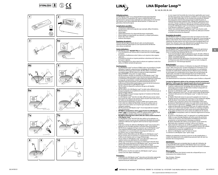



















BL-160, BL-200, BL-240

### **Utilisation prévue :**

Le LiNA Bipolar Loop™ est un dispositif électrochirurgical bipolaire<br>de 5 mm destiné à l'amputation de l'utérus mobilisé pendant une hystérectomie supracervicale (subtotale) par cœlioscopie et à la résection des myomes sous-séreux pédiculés dévascularisés. Il s'utilise avec un acs *myonnes sous sereux* peux

#### **Complications possibles :** • conversion en laparotomie ;

- complications électrochirurgicales (par exemple, défaut d'isolation, électrocution) ;
- hémorragie ;
- dysfonctionnement d'un dispositif électrique implantable ;
- lésions faibles ou importantes aux intensins, y compris perforation ;
- lésions des voies urinaires : • brûlures thermiques.

#### **Population de patients :**

Femmes de tous âges et poids devant subir une hystérectomie supracervicale par cœlioscopie ou une myomectomie de fibrome sous-séreux ou pédiculé.

#### **Contre-indications :**

- Le LiNA Bipolar LoopTM **NE DOIT PAS** être utilisé dans les cas suivants : • Si la circonférence de l'isthme utérin ne peut pas être visualisée avant activation.
- En présence d'adhérences entre l'utérus ou le myome et des organes adjacents.
- Si la patiente présente un myome postérieur volumineux de l'utérus ou de la paroi vaginale.
- Pour l'amputation d'un utérus dont le volume est supérieur à celui d'un utérus en 20ème semaine de grossesse.

- **Avertissements <u>:</u>**<br>• Le LiNA Bipolar Loop™ est fourni STERILE selon une procédure à l'oxyde d'éthylène. Inspecter soigneusement l'emballage afin de détecter d'éventuels dommages avant emploi. NE PAS utiliser si la barrière stérile est endommagée. Ne PAS utiliser au-delà de la date d'expiration.
- EXCLUSIVEMENT conçu pour un usage unique.<br>I NE PAS réutiliser, retraiter ou restériliser le LiNA Bipolar Loop™. Tout retraitement risque d'entraver le bon fonctionnement du dispositif. La réutilisation du dispositif à usage unique peut également augmenter le risque de contamination croisée. Toute tentative de nettoyer le dispositif risque de provoquer un dysfonctionnement et/ou un prélèvement d'échantillon pathologique erroné du fait de la présence<br>de tissu résiduel dans le LiNA Bipolar Loop™.
- NE PAS utiliser le dispositif en présence de gaz ou de liquides inflammables.
- NE PAS utiliser si le LiNA Bipolar LoopTM est plié, tordu, déformé ou si, lorsque la poignée est complètement avancée, l'anse ne retrouve pas sa forme losange originale
- NE PAS modifier la forme losange originale et l'isolation de l'électrode du LiNA Bipolar Loop™.<br>• Le LiNA Bipolar Loop™ doit être de taille suffisante pour passer autour
- de la masse de l'utérus et du myome. Placer ensuite l'anse autour du col de l'utérus ou du pédoncule du myome.
- Avant d'activer le générateur, toujours vérifier que la partie active (c'est-à-dire non isolée) de l'électrode n'est pas en contact avec un organe autre que l'utérus ou le myome (par exemple, intestins ou vaisseaux sanguins).
- NE PAS activer le LiNA Bipolar Loop™ s'il est impossible de visualiser l'anse de résection. **• RETIRER le manipulateur utérin avant d'activer le LiNA Bipolar**
- **Loop™. <u>Seul</u>** un manipulateur utérin en matériau NON CONDUCTEUR<br>(p. ex. plastique) doit être utilisé avec le LiNA Bipolar Loop™.
- **• RETIRER le dispositif intra-utérin (DIU) de l'utérus avant d'activer le LiNA Bipolar LoopTM.**  • Le LiNA Bipolar LoopTM NE DOIT PAS être utilisé sur les patientes sur
- lesquelles la vessie ne peut pas être totalement disséquée de la partie antérieure-inférieure du segment utérin du fait du risque de lésions vésicales.
- Éviter tout contact du câble du LiNA Bipolar Loop™ avec la peau de la patiente ou du chirurgien pendant l'activation électrochirurgicale. • NE PAS forcer ni appuyer de façon excessive sur le LiNA Bipolar LoopTM.
- Cela risquerait d'endommager le produit ou d'occasionner une strangulation et un sectionnement mécanique de l'utérus ou du myome, avec un risque d'hémorragie.
- Veiller à activer l'électrode avant de rétracter le LiNA Bipolar LoopTM. Ne pas l'activer peut occasionner un sectionnement mécanique de l'utérus ou du myome, avec un risque d'hémorragie.
- Ne pas utiliser le LiNA Bipolar Loop™ pour découper l'utérus ou le myome comme une alternative à la morcellation.
- Vérifier que l'extrémité en céramique est entièrement rétractée dans l'axe/le tube avant d'extraire le LiNA Bipolar Loop™ par le trocart afin d'éviter que l'extrémité céramique se coince dans le clapet. • Après utilisation, le dispositif et son emballage doivent être éliminés
- conformément aux politiques hospitalières, administratives et/ou locales. • NE PAS activer si les fils non isolés du LiNA Bipolar Loop™ sont en
- contact avec des objets métalliques.

#### **Précautions :**

• L'utilisation du LiNA Bipolar LoopTM nécessite une formation appropriée et une expérience pratique des procédures d'hystérectomie et de myomectomie par cœlioscopie.

- Le non-respect de l'ensemble des instructions applicables peut causer des blessures graves chez la patiente, le médecin ou son équipe et peut avoir des effets indésirables sur les résultats des procédures réalisées.
- Des précautions doivent être prises lorsque la patiente porte un dispositif électronique implanté (DEI). L'équipe péri-opératoire devra consulter l'équipe chargée de la gestion du dispositif implanté avant d'envisager toute intervention chirurgicale et en fonction des besoins. Lorsque le LiNA Bipolar Loop™ est en marche, il conviendra de le garder à une distance supérieure à ½ pouce (1 cm) du DEI.
- d'une distance superieure d'∠e pouce († enr.) du BEn.<br>Utiliser avec précaution le LiNA Bipolar Loop™ avec d'autres outils tranchants, car toute détérioration de l'isolant du câble peut entraîner un dysfonctionnement du dispositif.

**Description du produit :**<br>Le LiNA Bipolar Loop™ se compose d'un tube noir externe et d'un tube bleu interne sur lequel est fixée la poignée du dispositif. L'anse losange est fixée au tube interne. Pour la faire avancer, il suffit de maintenir la partie supérieure du tube externe noir tout en poussant la poignée bleue vers l'avant. Pour rétracter l'anse, tirer délicatement la poignée bleue d'une main tout en maintenant le tube externe noir de l'autre.

#### **Caractéristiques et réglage du générateur :**

Le LiNA Bipolar Loop™ est compatible avec la plupart des générateurs électrochirurgicaux standards équipés d'une prise bipolaire (prise de 4 mm à 2 broches fixes distantes de 29 mm).

**fr**

- Il est recommandé de régler le générateur sur 55–70 watts. Utiliser le réglage le plus faible permettant d'obtenir l'effet chirurgical souhaité. • Utiliser une pédale bipolaire.
- Utiliser uniquement des générateurs fonctionnant dans un champ de fréquence entre 350 et 472 KHz couvrant au moins la plage de puissance 55–70 W d'énergie bipolaire.

#### **Mode d'emploi :**

Ces informations sont relatives à l'utilisation du dispositif LiNA Bipolar Loop™. Elles n'ont pas pour vocation d'expliquer les techniques ou les procédures de cœlioscopie. Avant une intervention sur une patiente, consulter les publications médicales faisant référence pour connaître les techniques, les complications et les risques liés aux techniques de cœlioscopie. Consulter le mode d'emploi fourni par le fabricant du générateur électrochirurgical et/ou de l'endoscope pour connaître ses contre-indications. Lire attentivement les instructions d'utilisation avant d'utiliser ce dispositif.

### **Lorsque les ligaments utérins et les vaisseaux ont été correctement ligaturés, l'utérus peut être amputé à partir du col ou le myome peut être amputé du pédoncule, selon les instructions suivantes :**

- 1. Inspecter soigneusement l'emballage afin de détecter d'éventuels dommages avant emploi. Ne PAS tenter d'utiliser le dispositif si la
- barrière stérile est endommagée.<br>2. Brancher le LiNA Bipolar Loop™ sur la prise bipolaire du générateur.<br>Régler le générateur entre 55 et 70 watts selon le type de générateur. 3. Introduire délicatement le LiNA Bipolar LoopTM à l'aide d'un trocart de 5 mm.
- 4. **a.** Déplier l'électrode (anse) en poussant la poignée vers l'avant. La poignée doit être complètement avancée et l'anse totalement dépliée avant de placer l'anse autour du corps utérin ou du myome. **b.** Utiliser une ou plusieurs pinces et le manipulateur utérin pour positionner l'électrode (anse) autour du corps utérin ou du myome.
- 5. Avant d'activer le générateur, toujours vérifier que la partie active (non isolée) de l'électrode n'est pas en contact avec un organe autre que l'utérus ou le myome (par exemple, intestins ou vaisseaux sanguins).
- 6. **a.** Resserrer soigneusement l'anse autour de la partie inférieure du corps utérin (au-dessus du col) ou autour du pédoncule du myome. **b. RETIRER** le manipulateur utérin en relâchant légèrement la tension de l'anse.
- 7. **a.** Activer le LiNA Bipolar LoopTM en appuyant sur la pédale bipolaire. Veiller à ce que l'énergie bipolaire soit active avant de sectionner l'utérus ou le myome. Une rétractation immédiate de l'anse peut occasionner un sectionnement mécanique accidentel.
- **b.** Après amputation de l'utérus ou du myome, ne pas activer les électrodes pour manipuler ou diviser l'utérus ou le myome. 8. Après retrait de l'utérus du col, vérifier la coagulation de la partie proximale du canal endocervical, susceptible de contenir des cellules endométriales, et vérifier la coagulation de tout saignement ou
- suintement au niveau du moignon du col. 9. Retirer le LiNA Bipolar Loop™ à l'aide du trocart. 10. Eliminer le LiNA Bipolar Loop™ après usage.
- Indiquer aux patientes la marche à suivre en cas de complications, y

compris de saignements intra-abdominaux pouvant dans de rares cas entraîner des exsanguinations.

#### **Signalement :**

Tout incident grave qui surviendrait dans le cadre de l'utilisation de ce dispositif devra être signalé à LiNA Medical ApS et aux autorités réglementaires compétentes du pays dans lequel se trouvent l'utilisateur et/ou le patient.

**Mise en garde :** La loi fédérale (États-Unis) limite la vente de ce dispositif par ou sur ordonnance d'un médecin formé.

Pays d'origine : Pologne. Marquage CE 2012.

2022-04 FV0137J









 $\%$ 

 $\mathbb{S}$ 

**70 W 55 W**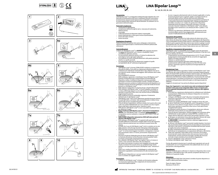



















BL-160, BL-200, BL-240

#### **Uso previsto:**

<u>Las pressesses</u><br>LiNA Bipolar Loop™ è un dispositivo elettrochirurgico bipolare da 5 mm destinato all'amputazione dell'utero mobilizzato durante la procedura di isterectomia sopracervicale laparoscopica (subtotale) e la resezione di miomi peduncolati sottosierosi devascolarizzati. Da utilizzare con un generatore elettrochirurgico.

#### **Potenziali complicanze:** • conversione in laparatomia;

- complicanze elettrochirurgiche (ad es. mancanza di isolamento, elettrocuzione);
- emorragia;
- malfunzionamento di dispositivi elettrici impiantabili;
- lesioni intestinali più o meno gravi inclusa la perforazione; • lesioni del tratto urinario;
- lesioni termiche

#### **Popolazione di pazienti:**

Pazienti femmine di qualsiasi età e peso sottoposte a isterectomia sopracervicale laparoscopica o miomectomia di fibromi peduncolati sottosierosi.

#### **Controindicazioni:**

- L'utilizzo di LiNA Bipolar LoopTM va **EVITATO** nelle seguenti situazioni: • Se, prima dell'attivazione, non si riesce a visualizzare l'intera circonferenza dell'istmo uterino.
- Se sono presenti aderenze uterine o il mioma ha aderenze che coinvolgono l'utero egli organi adiacenti.
- Se la paziente ha miomi di grandi dimensioni sulla parete posteriore uterina o su quella cervicale.
- Se l'amputazione dell'utero ha dimensioni maggiori di quelle corrispondenti alla 20° settimana di gestazione.

- **Avvertenze:**<br>• LiNA Bipolar Loop™ è fornito STERILIZZATO mediante un trattamento all'ossido di etilene. Prima dell'uso, ispezionare attentamente la confezione per individuare eventuali danni. Non utilizzare nel caso in cui la barriera sterile risultasse danneggiata. NON utilizzare oltre la data di scadenza.
- ESCLUSIVAMENTE monouso. Le ce commiente monoaso.<br>NON riutilizzare, rigenerare o risterilizzare l'ansa LiNA Bipolar Loop™ Qualsiasi ritrattamento può compromettere la funzionalità del dispositivo. Inoltre, il riutilizzo di dispositivi monouso potrebbe aumentare il rischio di contaminazione crociata. I tentativi di pulire il dispositivo possono condurre al malfunzionamento del dispositivo e/o al prelievo erroneo di tessuto patologico, a causa dei residui di tessuto presenti su LiNA Bipolar Loop™.
- NON utilizzare il dispositivo in presenza di gas o liquidi infiammabili. • NON utilizzare LiNA Bipolar LoopTM se l'ansa è piegata, arrotolata su se stessa, deformata oppure se, una volta aperta con l'impugnatura spostata in avanti fino a fine corsa, non assume la forma romboidale
- originariamente prevista. • NON modificare la forma romboidale originaria e l'isolamento dell'elettrodo di LiNA Bipolar Loop™.
- LiNA Bipolar LoopTM deve essere abbastanza grande da passare attorno al corpo dell'utero o al mioma. Solo successivamente si colloca l'ansa intorno alla cervice o al peduncolo del mioma.
- Prima di attivare il generatore, verificare sempre che la parte attiva (vale a dire non isolata) dell'elettrodo non sia in contatto con alcun organo diverso dall'utero o dal mioma (ad es. intestino o vaso).
- NON attivare LiNA Bipolar Loop™ se non è possibile visualizzare l'ansa per effettuare il taglio. **• Prima di attivare LiNA Bipolar LoopTM, rimuovere il manipolatore**
- **uterino.** Con LiNA Bipolar Loop™ va utilizzato **esclusivamente** un manipolatore uterino realizzato in materiale NON CONDUTTORE (ad es. plastica).
- **• RIMUOVERE il dispositivo intrauterino (IUD) dall'utero prima di attivare LiNA Bipolar LoopTM.**
- NON utilizzare LiNA Bipolar LoopTM in pazienti nelle quali non è possibile effettuare la dissezione completa della vescica dal segmento uterino inferiore anteriore per non rischiare di causare lesioni alla
- vescica. EVITARE che il cavo di LiNA Bipolar LoopTM entri in contatto con la cute della paziente o del chirurgo durante l'attivazione elettrochirurgica. • NON esercitare una forza eccessiva durante l'utilizzo di LiNA Bipolar
- Loop™. Si rischia di danneggiare il prodotto o intrappolare e lacerare<br>meccanicamente l'utero o il mioma, provocando sanguinamento eccessivo. • Accertarsi di attivare l'elettrodo prima di ritirare LiNA Bipolar LoopTM.
- La mancata attivazione rischia di lacerare meccanicamente l'utero o il mioma, provocando sanguinamento eccessivo.<br>• Non utilizzare LiNA Bipolar Loop™ per tagliare l'utero o il mioma in
- sezioni, come soluzione alternativa alla morcellazione.
- Per evitare che la punta in ceramica resti impigliata nel lembo della valvola, accertarsi che la punta stessa sia completamente ritratta nell'asta o nel tubo prima di estrarre LiNA Bipolar Loop™ attraverso il trocar.
- Dopo l'uso, smaltire il prodotto e l'imballaggio in conformità alle disposizioni ospedaliere e amministrative e/o alle normative locali vigenti.
- NON attivare il dispositivo se i cavi non isolati di LiNA Bipolar Loop<sup>TM</sup> sono in contatto con oggetti metallici.

#### **Precauzioni:**

**L'utilizzo di LiNA Bipolar Loop™ richiede una formazione adeguata** e la necessaria esperienza nello svolgimento di miomectomia e isterectomia laparoscopiche.

- Se non si seguono attentamente tutte le istruzioni applicabili, si rischia di provocare lesioni gravi a pazienti, medici o assistenti nonché un eventuale effetto avverso sull'esito dell'intervento effettuato.
- Occorre prendere le dovute precauzioni se la paziente è portatrice di un dispositivo elettronico impiantato (IED). L'équipe perioperatoria dovrebbe consultarsi con i medici che gestiscono il dispositivo impiantato prima di eseguire l'intervento chirurgico e secondo necessità. Quando il dispositivo LiNA Bipolar Loop™ viene attivato, dovrebbe essere mantenuto a una distanza di oltre ½ pollice (1 cm) dallo IED.
- Utilizzare con attenzione LiNA Bipolar Loop™ unitamente ad altri strumenti affilati, poiché il danneggiamento dell'isolamento può causare il malfunzionamento del dispositivo.

#### **Descrizione del prodotto:**

LiNA Bipolar Loop™ consiste di un tubo esterno di colore nero e di un tubo interno di colore blu al quale è fissata l'impugnatura del dispositivo. L'ansa romboidale è fissata al tubo interno e viene fatta avanzare tenendo stretta la parte superiore del tubo esterno nero mentre si spinge in avanti l'impugnatura blu. Per ritrarre l'ansa, tirare delicatamente l'impugnatura blu con una mano mentre si tiene il tubo esterno nero con l'altra mano.

#### **Specifiche e impostazioni del generatore:**

LiNA Bipolar Loop<sup>TM</sup> è compatibile con la maggior parte dei generatori elettrochirurgici standard con uscita bipolare (connettore a 2 pin da 4 mm fisso con distanza di 29 mm).

• L'impostazione raccomandata del generatore è di 55-70 watt. Utilizzare le impostazioni minime possibili tali da consentire di raggiungere l'effetto chirurgico desiderato.

**it**

- Utilizzare un pedale bipolare.
- Utilizzare esclusivamente generatori elettrochirurgici con funzionamento nell'intervallo compreso tra 350 e 472 kHz come minimo, coprendo la gamma di potenza di energia bipolare da 55 a 70 watt.

#### **Istruzioni per l'uso:**

Le sequenti informazioni riguardano l'utilizzo di LiNA Bipolar Loop™. Non sono fornite allo scopo di illustrare tecniche o procedure laparoscopiche. Prima di intraprendere qualsiasi procedura laparoscopica, per informazioni sulle tecniche appropriate, sulle complicanze e sui rischi associati fare riferimento alla letteratura medica pubblicata e riconosciuta. Per eventuali controindicazioni, consultare le istruzioni per l'uso fornite dall'azienda produttrice del generatore elettrochirurgico e/o del laparoscopio da .<br>utilizzare

Leggere le istruzioni per l'uso prima di utilizzare questo dispositivo!

#### **Dopo che i legamenti e i vasi uterini sono stati correttamente legati, quando l'utero può essere amputato dalla cervice o il mioma può essere amputato dal peduncolo in sicurezza, attenersi alle seguenti istruzioni:**

- 1. Prima dell'uso, ispezionare attentamente la confezione per individuare eventuali danni. NON tentare di utilizzare il dispositivo se la barriera
- sterile è danneggiata. 2. Collegare LiNA Bipolar LoopTM alla presa monopolare del generatore. Impostare il generatore tra 55 e 70 watt, a seconda del tipo di generatore utilizzato.
- 3. Inserire con cautela LiNA Bipolar Loop™ tramite un trocar da 5 mm. 4. **a.** Aprire l'elettrodo (l'ansa) spingendo avanti l'impugnatura. Prima di far passare l'ansa attorno al corpo uterino o al mioma, l'impugnatura
- deve essere spostata in avanti fino a fine corsa e l'ansa deve essere completamente aperta. **b.** Utilizzare le pinze da presa e il manipolatore uterino per collocare l'elettrodo (l'ansa) attorno al corpo dell'utero o al mioma.
- 5. Prima di attivare il generatore, verificare sempre che la porzione attiva dell'elettrodo (ovvero quella non isolata) non sia a contatto con un organo diverso dall'utero o dal mioma (ad esempio intestino o vaso).
- 6. **a.** Stringere con attenzione l'ansa attorno alla parte inferiore del corpo dell'utero (sopra la cervice) o al peduncolo del mioma. **b. RIMUOVERE** il manipolatore uterino e allentare leggermente la tensione dell'ansa.
- 7. **a.** Attivare LiNA Bipolar LoopTM premendo il pedale bipolare. Accertarsi che sia presente energia bipolare prima di procedere al sezionamento dell'utero o del mioma. La retrazione immediata dell'ansa può causare un taglio meccanico involontario. **b.** Dopo l'amputazione dell'utero o del mioma, non attivare gli
- elettrodi per la manipolazione o la separazione dell'utero o del mioma. 8. Dopo aver amputato l'utero dalla cervice, assicurarsi che la parte prossimale del canale endocervicale, dove possono trovarsi cellule endometriali, nonché eventuali emorragie e perdite del moncone cervicale si siano arrestate e sia avvenuta la coagulazione.
- 9. Estrarre LiNA Bipolar Loop™ attraverso il trocar.<br>10. Gettare LiNA Bipolar Loop™ dopo l'uso.
- 

Fornire alle pazienti istruzioni per il controllo post-operatorio nel caso di complicazioni, tra cui il sanguinamento intra-addominale che in rari casi può portare a dissanguamento.

#### **Segnalazioni:**

Qualsiasi incidente grave verificatosi in relazione al dispositivo deve essere segnalato a LiNA Medical ApS e alle autorità competenti del Paese in cui l'utente e/o il paziente risiede.

**Attenzione:** la legge federale degli Stati Uniti limita la vendita di questo dispositivo ai medici o dietro prescrizione medica.

Paese di origine: Polonia. Marcatura CE del 2012.



 $\%$ 

**70 W 55 W** 

 $\mathbf{c}$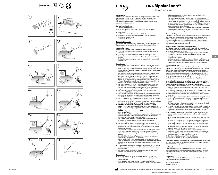











**70 W 55 W** 

 $\mathbf{c}$ 









## **LiNA Bipolar Loop™**

BL-160, BL-200, BL-240

#### **Uso previsto:**

LiNA Bipolar Loop™ es un dispositivo electroquirúrgico bipolar de 5 mm indicado para extirpar el útero movilizado durante la histerectomía laparoscópica supracervical (subtotal) y la resección de miomas devastados subserosos pediculados. Diseñado para utilizarse con un generador electroquirúrgico.

### **Posibles complicaciones:**

- conversión a laparotomía; • complicaciones electroquirúrgicas (p. ej. fallo de aislamiento,
- electrocución);
- hemorragia; • mal funcionamiento del dispositivo eléctrico implantable;
- lesión en el intestino delgado o grueso incluida la perforación;
- lesión en el tracto urinario;
- quemaduras térmicas.

#### **Población de pacientes:**

Mujeres de cualquier edad y peso que se vayan a someter a histerectomía laparoscópica supracervical o miomectomía subserosa pediculada.

- **<u>Contraindicaciones:</u><br>LiNA Bipolar Loop™ <b>NO** debe usarse en las situaciones siguientes: • Si el istmo uterino no se puede visualizar circularmente antes de la activación.
- Si el útero o el mioma está adherido a algún órgano adyacente. • Si la paciente tiene un mioma uterino grande posterior o en la pared
- cervical. • Extirpación de úteros mayores que el correspondiente a la semana 20 de gestación.

- **Advertencias:**<br>• LiNA Bipolar Loop™ se suministra ESTERILIZADO mediante un proceso con óxido de etileno. Inspeccione detenidamente el embalaje para detectar cualquier daño antes de su uso. NO lo utilice si la barrera estéril presenta desperfectos. NO lo use una vez pasada la fecha de caducidad. • Para un SOLO uso.
- NO reutilice, reprocese o reesterilice el dispositivo LiNA Bipolar Loop™ Cualquier reprocesamiento podría afectar al funcionamiento del dispositivo. La reutilización de dispositivos de un solo uso también puede aumentar el riesgo de contaminación cruzada. Los intentos de limpiar el dispositivo se traducen en el riesgo de fallos del mismo y/ o una obtención errónea de especímenes patológicos debido a la .<br>presencia del tejido residual en LiNA Bipolar Loop™
- NO utilice el dispositivo en presencia de gases o líquidos inflamables.<br>• NO utilice LiNA Bipolar Loop™ si el asa está doblada, torcida, mal formada o no se despliega completamente con el diseño romboide
- original cuando el mango está avanzado en su totalidad. NO modifique el diseño romboide original ni el aislamiento del electrodo de LiNA Bipolar Loop™.
- LiNA Bipolar Loop<sup>TM</sup> debe ser suficientemente grande como para pasar alrededor del cuerpo uterino o del mioma. A continuación, aplique el asa alrededor del cérvix o en la zona de origen del mioma.
- Antes de activar el generador, compruebe siempre que la parte activa (la que no está aislada) del electrodo no está en contacto con ningún órgano que no sea el útero o el mioma (por ejemplo, intestinos o vasos).  $\cdot$  NO active LiNA Bipolar Loop $\mathbb{M}$  si no puede ver el asa de corte.
- **• RETIRE el manipulador uterino antes** de **activar LiNA Bipolar**
- **LoopTM.** Utilice **solo** un manipulador uterino hecho de material NO CONDUCTOR (por ejemplo de plástico) cuando vaya a usar LiNA Bipolar  $L$ oop<sup>T</sup>
- **• RETIRE el dispositivo intrauterino (DIU) del útero antes de activar el**
- **LiNA Bipolar Loop™.**<br>• LiNA Bipolar Loop™ NO debe utilizarse en pacientes en los que la vejiga no se pueda separar por completo en el segmento uterino anterior inferior debido al riesgo de lesión de la vejiga.
- NO permita que el cable de LiNA Bipolar Loop™ entre en contacto con la piel de la paciente o del cirujano durante la activación electroquirúrgica.
- NO ejerza una fuerza/carga excesiva al utilizar LiNA Bipolar Loop™ va que podría dañarlo o provocar el estrangulamiento o seccionamiento mecánico del útero o del mioma, con el riesgo de que se produzca una hemorragia excesiva. • Asegúrese de activar el electrodo antes de retraer LiNA Bipolar Loop™
- Si no se activa, podría producirse el seccionamiento mecánico del útero o del mioma, con el riesgo de que se produzca una hemorragia excesiva.
- No utilice LiNA Bipolar LoopTM para realizar cortes seriados del útero o mioma como alternativa a la fragmentación.
- Asegúrese de que la punta de cerámica esté completamente retraída en el eje/tubo antes de extraer el LiNA Bipolar Loop™ a través del trocar para evitar que la punta de cerámica quede atrapada en la tapa de la válvula.
- Tras el uso del dispositivo, se ha de eliminar tanto el producto como su embalaje de acuerdo a las normas del hospital, administrativas y/o del gobierno local.
- NO se debe activar si los cables no aislados del LiNA Bipolar LoopTM están en contacto con objetos metálicos.

- **Precauciones:**<br>• El uso de LiNA Bipolar Loop™ requiere formación y experiencia adecuadas en cuanto a la realización de histerectomías laparoscópicas y miomectomías.
- Si no se siguen de forma estricta las instrucciones aplicables, el paciente, el médico o los asistentes podrían sufrir lesiones significativas,

además de producirse un efecto adverso en el resultado de los procedimientos realizados.

- En caso de pacientes con dispositivos electrónicos implantados, deben tomarse precauciones especiales. El equipo perioperatorio debe consultar al equipo administrador del dispositivo implantado antes de proceder a la cirugía u otro procedimiento. Si LiNA Bipolar LoopTM está activo, se debe mantener a una distancia de 1 cm (0,5 pulgadas) del dispositivo electrónico implantado.
- Utilice cuidadosamente el LiNA Bipolar Loop™ con otras herramientas afiladas, ya que el daño del aislamiento del cable puede provocar un mal funcionamiento del dispositivo.

**Descripción del producto:**<br>LiNA Bipolar Loop™ consta de un tubo exterior negro y de un tubo interior azul al que se une el mango del dispositivo. El asa romboide se sujeta al tubo interior y se hace avanzar sujetando la parte superior del tubo exterior negro mientras se empuja hacia delante el mango azul. Para retraer el asa, tire suavemente del mango azul con una mano mientras sujeta el tubo exterior negro con la otra.

#### **Especificaciones y configuración del generador:**

LiNA Bipolar Loop<sup>TM</sup> es compatible con la mayoría de los generadores electroquirúrgicos estándar con salida bipolar (enchufe fijo de 2 pines de 4 mm con una distancia de 29 mm).

- La configuración recomendada para el generador es de 55-70 vatios. Utilice la configuración más baja posible capaz de lograr el efecto quirúrgico deseado. • Utilice un pedal bipolar.
- Utilice únicamente generadores electroquirúrgicos que funcionen en el campo de frecuencias comprendido entre 350 y 472 KHz como mínimo, abarcando el rango de potencia de 55-70 vatios de energía bipolar.

#### **Instrucciones de uso:**

Esta información sirve para LiNA Bipolar Loop™. No está pensada para la demostración de técnicas ni procedimientos laparoscópicos. Consulte la literatura médica publicada y aceptada para conocer las técnicas adecuadas, las complicaciones y los riesgos antes de realizar cualquier procedimiento laparoscópico. Consulte en las instrucciones de uso proporcionadas por el fabricante del generador electroquirúrgico y del laparoscopio si existen contraindicaciones. Lea las instrucciones de uso antes de utilizar este dispositivo.

### **Una vez ligados correctamente los ligamentos y los vasos uterinos, se puede proceder a extirpar el útero desde el cérvix o en la zona de origen del mioma, conforme a las siguientes instrucciones:** 1. Inspeccione detenidamente el embalaje para detectar cualquier daño

- antes de su uso. NO intente utilizar el dispositivo si la barrera estéril está dañada. 2. Conecte el LiNA Bipolar LoopTM a la salida bipolar del generador. Ajuste
- el generador entre 55-70 vatios según el tipo de generador. 3. Introduzca cuidadosamente el LiNA Bipolar Loop™ a través del trocar
- de 5 mm. 4. **a.** Despliegue el electrodo (asa) haciendo avanzar el mango. El mango debe estar completamente avanzado y el asa desenrollada en su totalidad antes de colocar el asa alrededor del cuerpo uterino o del mioma.
- **b.** Use unas pinzas y el manipulador uterino para colocar el electrodo (asa) alrededor del cuerpo uterino o mioma.
- 5. Antes de activar el generador, compruebe siempre que la parte activa (la que no está aislada) del electrodo no está en contacto con ningún órgano (por ejemplo, intestinos o vasos) que no sea el útero o el mioma.
- 6. **a.** Apriete cuidadosamente el asa alrededor de la parte inferior del cuerpo uterino (por encima del cérvix) o en la zona de origen del mioma.

**b. EXTRAIGA** el manipulador uterino y afloje un poco la tensión del

- asa. 7. **a.** Active el LiNA Bipolar LoopTM pisando el pedal bipolar. Asegúrese de que haya energía bipolar antes de seccionar el útero o el mioma. La retracción inmediata del asa puede provocar un corte mecánico involuntario.
- **b.** Después de extraer el útero o el mioma, no active los electrodos para manipular o dividir el útero o el mioma.
- 8. Después de extirpar el útero del cérvix, asegúrese de que está coagulada la parte proximal del conducto endocervical, que puede contener células del endometrio, y compruebe que se ha coagulado toda hemorragia o exudado del muñón cervical.
- 9. Extraiga el LiNA Bipolar LoopTM a través del trocar.
- 10. Deseche el LiNA Bipolar Loop™ después de su uso.

Proporcione instrucciones a la paciente por si se producen complicaciones, incluidas hemorragias intraabdominales que, en casos poco frecuentes, pueden producir exanguinación.

#### **Notificación:**

Cualquier incidente grave que se haya producido en relación con el dispositivo deberá ser comunicado a LiNA Medical ApS y a la autoridad reguladora competente del país en el que esté establecido el usuario o el paciente.

**Precaución:** Las leyes federales de EE. UU. limitan la venta de este dispositivo por o a petición de un médico con experiencia.

País de origen: Polonia. Marcado CE 2012.

**es**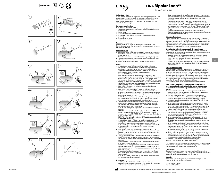

















### BL-160, BL-200, BL-240

#### **Utilização prevista:**

O LiNA Bipolar Loop™ é um dispositivo eletrocirúrgico bipolar de 5 mm para remoção do útero mobilizado durante histerectomia (subtotal) supracervical laparoscópica e ressecção de miomas subserosos pediculados desvascularizados. Destinado a ser utilizado com uma unidade de eletrocirurgia.

### **Potenciais complicações:**

- conversão para laparotomia; • complicações eletrocirúrgicas (por exemplo, falha no isolamento,
- eletrocussão);
	- hemorragia:
- avaria do dispositivo elétrico implantável; • lesão no intestino delgado ou no intestino grosso incluindo perfuração;
- lesão no trato urinário;
- queimaduras térmicas.

#### **População de pacientes:**

Do sexo feminino, de qualquer idade e peso, submetidas a uma histerectomia supracervical laparoscópica ou miomectomia em mioma subseroso pediculado.

### **Contraindicações:**

- O LiNA Bipolar LoopTM **NÃO** deve ser utilizado nas seguintes situações: • Se o istmo uterino não puder ser utilizado has seguintes situa<br>• Se o istmo uterino não puder ser visualizado circunferencialm antes da ativação.
- Se o útero ou o mioma estiver aderido a qualquer órgão adjacente. • Se a paciente apresentar miomas volumosos na parede do colo do
- útero ou uterina posterior. • Remoção do útero maior do que a 20.ª semana gestacional.

- **Avisos:**<br>• O LiNA Bipolar Loop™ é fornecido ESTERILIZADO utilizando um processo de óxido de etileno. Verifique cuidadosamente se a embalagem apresenta danos antes de utilizar. NÃO utilize o dispositivo se a barreira estéril estiver danificada. NÃO utilize o dispositivo depois de expirado o prazo de validade. • Produto DESCARTÁVEL.
- NÃO reutilize, reprocesse ou reesterilize o LiNA Bipolar LoopTM. Qualquer tipo de reprocessamento pode prejudicar o funcionam do dispositivo. A reutilização de dispositivos descartáveis pode também aumentar o risco de contaminação cruzada. As tentativas de limpeza do dispositivo resultam num risco de avaria do dispositivo e/ ou colheita incorreta de amostras para patologia devido à presença de tecidos residuais no LiNA Bipolar Loop™.
- NÃO utilize o dispositivo na presença de gases inflamáveis ou líquidos inflamáveis.
- NÃO utilize o LiNA Bipolar LoopTM se estiver dobrado, torcido, deformado ou se não desdobrar completamente, de acordo com o desenho romboide original, quando a pega estiver totalmente saída.
- NÃO modifique o desenho romboide original nem o isolamento do elétrodo do LiNA Bipolar Loop™. • O LiNA Bipolar LoopTM deve ser suficientemente grande para passar
- em redor do corpo do útero ou do mioma. Em seguida, aplique a ansa em redor do colo do útero ou da base do mioma. • Antes de ativar a unidade de eletrocirurgia, certifique-se sempre
- de que a parte ativa (ou seja, não isolada) do elétrodo não está em contacto com outro órgão que não o útero ou o mioma (por exemplo, intestino ou vaso sanguíneo).
- NÃO ative o LiNA Bipolar Loop<sup>TM</sup> se não for possível visualizar a ansa<br>de corte.
- **• REMOVA o manipulador uterino antes de ativar o LiNA Bipolar Loop™. <u>Apenas</u> deverá ser utilizado um manipulador uterino**<br>fabricado com material NÃO CONDUTOR (por exemplo, plástico) com o LiNA Bipolar Loop™
- **• REMOVA o dispositivo intrauterino (DIU) do útero antes de ativar o LiNA Bipolar Loop™.**<br>• O LiNA Bipolar Loop™ NÃO deve ser usado em pacientes em que
- a bexiga não pode ser completamente dissociada do segmento inferior uterino anterior, devido ao risco de lesões na bexiga.
- NÃO permita que o cabo do LiNA Bipolar LoopTM entre em contacto com a pele da paciente ou do cirurgião durante a ativação eletrocirúrgica.
- NÃO aplique força/carga excessiva no LiNA Bipolar Loop™. Tal poderá danificar o produto ou resultar em estrangulamento e corte mecânico em secções do útero ou do mioma, podendo causar uma hemorragia excessiva.
- Tenha o cuidado de ativar o elétrodo antes de retrair o LiNA Bipolar LoopTM. Se este não for ativado, poderá resultar em corte mecânico em secções do útero ou do mioma, podendo causar uma hemorragia excessiva.
- Não utilize o LiNA Bipolar LoopTM para corte do útero ou do mioma como alternativa à morcelação.
- Certifique-se de que a ponta de cerâmica está totalmente retraída para dentro da haste/do tubo antes de extrair o LiNA Bipolar LoopTM através do trocarte, para evitar que a ponta de cerâmica fique presa na aba da válvula.
- Depois da utilização, elimine o produto e a respetiva embalagem, de acordo com as políticas hospitalares, administrativas e/ou do governo local.
- **NÃO ative se os fios não isolados do LiNA Bipolar Loop™ estiverem** em contacto com objetos de metal.
- **Precauções:**
- <u>• Cauçoes.</u><br>• A utilização do LiNA Bipolar Loop™ requer uma formação e experiência adequadas relativamente à execução de procedimentos de histerectomia e miomectomia laparoscópica.
- Se as instruções aplicáveis não forem cumpridas na íntegra, podem ocorrer ferimentos significativos no paciente, médico ou assistentes, bem como efeitos adversos no resultado dos procedimentos realizados.
- Devem ser tomadas precauções quando a paciente possui um dispositivo eletrónico implantado (DEI). A equipa perioperatória deve consultar a equipa que gere o dispositivo implantado antes da cirurgia e conforme necessário. Quando o LiNA Bipolar Loop™ está ativado, este deve ser mantido longe do DEI mais de ½ polegada (1 cm).
- Utilize cuidadosamente o LiNA Bipolar Loop™ com outras ferramentas afiadas, uma vez que danos no isolamento do fio podem resultar na avaria do dispositivo.

#### **Descrição do produto:**

O LiNA Bipolar LoopTM consiste num tubo exterior preto e num tubo interior azul ao qual está presa a pega do dispositivo. A ansa romboide está presa ao tubo interior. Para avançá-la, segure na parte superior do tubo exterior preto, empurrando simultaneamente a pega azul para a frente. Para retrair a ansa, puxe cuidadosamente a pega azul com uma mão enquanto segura o tubo exterior preto com a outra.

**Especificações e definições da unidade de eletrocirurgia:**<br>O LiNA Bipolar Loop™ é compatível com a maioria das unidades de eletrocirurgia comuns com tomada bipolar (ficha fixa de 2 pinos, 4 mm, com uma distância de 29 mm).

- A definição recomendada para a unidade de eletrocirurgia é de 55-70 Watts. Utilize as definições mais baixas possíveis, mas com capacidade para obter o efeito cirúrgico desejado.
- Utilize um pedal bipolar.
- Utilize apenas unidades de eletrocirurgia com frequências mínimas entre 350 e 472 KHz e uma faixa de potência de 55-70 Watts de energia bipolar.

**pt**

#### **Instruções de utilização:**

**Estas informações destinam-se à utilização do LiNA Bipolar Loop™. As** mesmas não se destinam a demonstrar técnicas ou procedimentos laparoscópicos. Antes de proceder a um procedimento laparoscópico, consulte documentação médica publicada e certificada para obter informações sobre as técnicas adequadas, as complicações e os perigos inerentes. Para obter informações sobre contraindicações, consulte as instruções de utilização fornecidas pelo fabricante da unidade de eletrocirurgia e/ou do laparoscópio a ser utilizado. Leia as instruções de utilização antes de utilizar este dispositivo!

#### **Após os vasos sanguíneos e ligamentos uterinos terem sido corretamente ligados, o útero poderá ser removido do colo do útero ou da base do mioma, seguindo as instruções indicadas abaixo:**

- 1. Verifique cuidadosamente se a embalagem apresenta danos antes de utilizar. NÃO tente utilizar o dispositivo se a barreira de esterilização estiver danificada.
- 2. Ligue o LiNA Bipolar LoopTM à saída bipolar da unidade de eletrocirurgia. Configure a unidade de eletrocirurgia entre 55 a 70 Watts dependendo do tipo de unidade de eletrocirurgia.
- 3. Introduza cuidadosamente o LiNA Bipolar Loop™ através de um trocarte de 5 mm.
- 4. **a.** Desdobre o elétrodo (ansa) fazendo avançar a pega. Antes de colocar a ansa em redor do corpo do útero ou do mioma, a pega deve estar completamente saída e a ansa totalmente desdobrada. **b.** Utilize pinça(s) e o manipulador uterino para ajudar a colocar o elétrodo (ansa) em redor do corpo do útero ou do mioma.
- 5. Antes de ativar a unidade de eletrocirurgia, certifique-se sempre de que a parte ativa (ou seja, não isolada) do elétrodo não está em contacto com outro órgão (por exemplo, intestino ou vaso sanguíneo) que não o útero ou o mioma.
- 6. **a.** Aperte cuidadosamente a ansa em redor da parte inferior do corpo do útero (acima do colo do útero) ou da base do mioma. **b. REMOVA** o manipulador uterino e liberte ligeiramente a tensão da ansa.
- 7. **a.** Ative o LiNA Bipolar LoopTM premindo o pedal bipolar. Tenha o cuidado de colocar a energia bipolar em espera antes de seccionar o útero ou o mioma. A retração imediata da ansa pode infligir um corte mecânico indesejável.
- **b.** Após a remoção do útero ou do mioma, não ative os elétrodos para manipular ou dividir o útero ou o mioma.
- 8. Após a remoção do útero do colo do útero, certifique-se de que a parte proximal do canal endocervical, que poderá conter células do endométrio, está coagulada e de que qualquer hemorragia ou ressumação no coto do colo do útero está coagulada.
- 9. Remova o LiNA Bipolar Loop™ através do trocarte.<br>10. Após a utilização, elimine o LiNA Bipolar Loop™.

Forneça às pacientes instruções de acompanhamento na eventualidade de ocorrerem complicações, incluindo hemorragia intra-abdominal o que, em casos raros, poderá levar à exsanguinação.

#### **Comunicação:**

Qualquer incidente grave que ocorra com o dispositivo deverá ser comunicado à LiNA Medical ApS e à autoridade reguladora competente do país de residência do utilizador e/ou do paciente.

**Cuidado:** A lei federal (EUA) restringe a venda deste dispositivo por ou sob encomenda de um médico com formação.

País de origem: Polónia. Marcação CE de 2012.

LiNA is a registered trademark of LiNA Medical in EU, US and CN

2022-04 FV0137J





 $\%$ 

**70 W 55 W** 



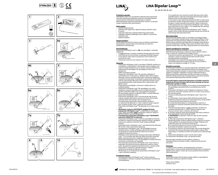













**70 W 55 W** 

 $\%$ 

 $\mathbf{c}$ 





## **LiNA Bipolar Loop™**

BL-160, BL-200, BL-240

#### **Predvidena uporaba:**

LiNA Bipolar LoopTM je 5-mm bipolarni elektrokirurški pripomoček, namenjen amputaciji mobilizirane maternice med laparoskopsko supracervikalno (subtotalno) histerektomijo in resekcijo devaskulariziranih suberoznih pedunkularnih miomov. Za uporabo skupaj z elektrokirurškim generatorjem.

### **Možni zapleti:**

- **Prehod na laparotomijo;**
- elektrokirurški zapleti (npr. odpoved izolacije, električni udar); • krvavitev;
- 
- nepravilno delovanje vsadnega električnega pripomočka; poškodba tankega ali debelega črevesa vključno s perforacijo;
- poškodba sečil; • toplotne opekline.

### **Skupine bolnikov:**

**ženske katere koli starosti in telesne mase, pri katerih je predvidena** laparoskopska supracervikalna histerektomija ali suberozna pendikularna miomektomija.

### **Kontraindikacije:**

Pripomoček LiNA Bipolar LoopTM se **NE** sme uporabljati v naslednjih okoliščinah:

- Če pred aktivacijo ni mogoče vizualizirati obsega maternične ožine.
- Če je maternica ali miom pritrjen na katerega od bližnjih organov. Če ima bolnica večje miome na posteriorni strani maternice ali
- materničnem vratu. • Amputacija maternice, ki je večja kot v 20. tednu nosečnosti.

#### **Opozorila:**

- Pripomoček LiNA Bipolar LoopTM je ob dobavi STERILEN; steriliziran je s postopkom z etilenoksidom. Pred uporabo skrbno preglejte, ali je ovojnina morda poškodovana. Če je sterilna ovojnina poškodovana, pripomočka NE uporabljajte. NE uporabljajte po izteku roka uporabnosti.
- SAMO za enkratno uporabo. Pripomočka LiNA Bipolar LoopTM NE uporabite, obdelajte ali sterilizirajte znova. Vsaka ponovna obdelava lahko okvari njegovo delovanje. Ponovna uporaba pripomočkov tudi poveča tveganje za navzkrižno kontaminacijo. Če poskušate ta pripomoček očistiti, lahko pride do nepravilnega delovanja in/ali napačnega odvzema vzorca za patološke preiskave zaradi ostankov tkiva v pripomočku LiNA Bipolar LoopTM
- Pripomočka NE uporabljajte v prisotnosti vnetljivih plinov ali vnetljivih tekočin.
- Pripomočka LiNA Bipolar Loop™ NE uporabljajte, če je zanka upognjena, zasukana, preoblikovana ali ni popolnoma razvita v pravilno romboidno obliko, ko je ročaj popolnoma iztegnjen.
- NE spreminjajte originalne romboidne oblike in izolacije elektrode pripomočka LiNA Bipolar Loop™.
- Pripomoček LiNA Bipolar LoopTM mora biti dovolj velik, da ga je mogoče napeljati okoli telesa maternice ali mioma. Potem zanko namestite okoli materničnega vratu ali peclja mioma.
- Pred aktiviranjem generatorja vedno poskrbite, da aktivni (tj. neizolirani) del elektrode ni v stiku z nobenim drugim organom (npr. črevesjem ali žilo), razen z maternico ali miomom. • Pripomočka LiNA Bipolar LoopTM NE aktivirajte, če ne vidite rezalne
- zanke. **• Manipulator maternice ODSTRANITE, preden aktivirate pripomoček LiNA Bipolar Loop™.** S pripomočkom LiNA Bipolar
- LoopTM lahko uporabljate **samo** manipulator maternice, izdelan iz NEPREVODNEGA materiala (npr.plastike). **• Pred aktivacijo pripomočka LiNA Bipolar LoopTM ODSTRANITE**
- **maternični vložek (IUV) iz maternice.**
- Pripomoček LiNA Bipolar LoopTM se NE sme uporabljati pri bolnicah, pri katerih ni mogoče izvesti popolne disekcije mehurja v spodnjem anteriornem segmentu maternice zaradi tveganja poškodbe mehurja.
- Kabel pripomočka LiNA Bipolar Loop™ med elektrokirurško aktivacijo NE sme biti v stiku s kožo bolnice ali kirurga.
- Na pripomočku LiNA Bipolar Loop™ NE uporabljajte čezmerne sile/obremenitve. To lahko poškoduje pripomoček ali povzroči strangulacijo ali mehansko disekcijo maternice ali mioma s tveganjem čezmerne krvavitve.
- Elektrodo je treba aktivirati pred retrakcijo pripomočka LiNA Bipolar LoopTM. Če ne izvedete take aktivacije, lahko povzročite mehansko
- delitev maternice ali mioma s tveganjem čezmerne krvavitve. Pripomočka LiNA Bipolar LoopTM ne uporabljajte za rezanje maternice ali miomov kot alternative za razkosanje.
- Pred izvlečenjem pripomočka LiNA Bipolar Loop™ skozi troakar se prepričajte, da je keramična konica popolnoma uvlečena v kanal/ cevko, da preprečite zagozdenje keramične konice v loputki ventila.
- Pripomoček in ovojnino po uporabi odstranite v skladu z bolnišničnimi postopki ali veljavnimi predpisi.<br>• NE aktivirajte, če so neizolirane žice pripomočka LiNA Bipolar Loop™
- v stiku s kovinskimi predmeti.

#### **Previdnostni ukrepi:**

<u>• Uporaba pripomočka LiNA Bipolar Loop™ zahteva zadostno</u> usposabljanje in izkušnje z izvajanjem laparoskopske histerektomije in miomektomije.

• Če ne upoštevate vseh ustreznih navodil, lahko povzročite veliko poškodbo bolnice, zdravnika ali drugega zdravstvenega osebja in

- neželeni učinek na izid izvedenih posegov. Če ima bolnica vsajen elektronski pripomoček (IED), je treba izvesti previdnostne ukrepe. Perioperativna ekipa se mora pred kirurškim posegom in kadar je potrebno posvetovati z ekipo, ki obravnava<br>vsadni pripomoček. Ko se pripomoček LiNA Bipolar Loop™ aktivira, ga je treba držati več kot ½ palca (1 cm) oddaljenega od vsajenega elektronskega pripomočka (IED).
- Previdno uporabljajte pripomoček LiNA Bipolar Loop™ skupaj z<br>drugimi ostrimi orodji, daj lahko poškodba izolacije žice privede do nepravilnega delovanja pripomočka.

#### **Opis pripomočka:**

Pripomoček LiNA Bipolar Loop™ je sestavljen iz zunanjega črnega<br>kanala in notranjega modrega kanala, na katerega je priključen ročaj pripomočka. Na notranji kanal je priključena romboidna zanka, ki se potiska naprej z držanjem zgornjega dela zunanjega črnega kanala in sočasnim potiskanjem modrega ročaja naprej. Če želite izvleči zanko, povlecite moder ročaj z eno roko, z drugo pa držite črni zunanji kanal.

### **Splošne specifikacije in nastavitve:**

Pripomoček LiNA Bipolar je združljiv z večino standardnih elektrokirurških generatorjev z bipolarno vtičnico (fiksnim vtičem s 4-mm 2 nožicama, med katerima je razdalja 29 mm).

- Priporočena nastavitev generatorja je 55–70 W. Uporabite najmanjšo nastavitev, s katero je mogoče doseči želeni kirurški učinek. • Uporabite bipolarni nožni pedal.
- Uporabljajte samo elektrokirurške generatorje, ki delujejo v minimalnem frekvenčnem polju od 350 do 472 kHz, ki pokriva razpon moči bipolarne energije 55–70 vatov.

**sl**

#### **Navodila za uporabo:**

Te informacije so priložene za uporabo pripomočka LiNA Bipolar LoopTM. Niso namenjene prikazu laparoskopskih tehnik ali postopkov. Pred vsakim laparoskopskim posegom se pozanimajte o ustreznih tehnikah, zapletih in tveganjih v objavljeni in priznani medicinski literaturi. Glede kontraindikacij upoštevajte navodila proizvajalca za uporabo elektrokirurškega generatorja in/ali laparoskopa, ki ga boste uporabili. Pred uporabo tega pripomočka preberite navodila!

#### **Po pravilni ligaturi materničnih ligamentov in žil lahko maternico amputirate od materničnega vratu ali miom od peclja, pri tem pa upoštevajte spodnja navodila:**

- 1. Pred uporabo skrbno preglejte, ali je ovojnina morda poškodovana. NE uporabljajte tega pripomočka, če je poškodovana sterilna ovojnina.
- 2. Pripomoček LiNA Bipolar LoopTM priključite na bipolarno vtičnico generatorja. Generator nastavite med 55 in 70 vatov, kar je odvisno od vrste generatorja.
- 3. Previdno uvedite pripomoček LiNA Bipolar LoopTM skozi 5-mm troakar.
- 4. **a.** S potiskanjem ročaja naprej odvijte elektrodo (zanko). Ročaj popolnoma potisnite naprej, da se zanka popolnoma razvije, preden jo namestite okoli telesa maternice ali mioma. **b.** S prijemalko/prijemalkami in manipulatorjem maternice si pomagajte pri namestitvi elektrode (zanke) okoli telesa maternice ali mioma.
- 5. Pred aktivacijo generatorja se vedno prepričajte, da aktiven (tj. neizoliran) del elektrode ni v stiku z nobenim organom (npr. črevesom ali žilo), razen z maternico ali miomom.
- 6. **a.** Previdno zategnite zanko okoli spodnjega dela telesa maternice (nad materničnim vratom) ali peclja mioma. **b. ODSTRANITE** manipulator maternice, tako da rahlo sprostite
- napetost zanke. 7. **a.** Aktivirajte pripomoček LiNA Bipolar LoopTM s pritiskom bipolarnega pedala. Preden izvedete disekcijo maternice ali mioma, morate počakati na dovajanje bipolarne energije. Takojšnji umik zanke lahko povzroči nenameren mehanski rez. **b.** Po amputaciji maternice ali mioma ne aktivirajte elektrod za
- premikanje ali razdelitev maternice ali mioma. 8. Po amputaciji maternice od materničnega vratu morate koagulirati proksimalni del endocervikalnega kanala, ki lahko vsebuje celice
- endometrija, in morebitno krvavitev ali izcedek iz krna materničnega vratu. 9. Pripomoček LiNA Bipolar LoopTM izvlecite skozi troakar.
- 10. Pripomoček LiNA Bipolar LoopTM po uporabi zavrzite.

Bolnicam dajte navodila za primer zapletov, vključno z intraabdominalno krvavitvijo, ki lahko v redkih primerih povzroči izkrvavitev.

**Poročanje:** O vsakem resnem incidentu, do katerega pride v povezavi s pripomočkom, morate poročati družbi LiNA Medical ApS in pristojnemu regulativnemu organu v državi, kjer imata uporabnik oziroma bolnica stalno prebivališče.

#### **Previdno:**

<u>z za zakonodaja ZDA dovoljuje prodajo izdelka le usposobljenim</u><br>Zvezna zakonodaja ZDA dovoljuje prodajo izdelka le usposobljenim zdravnikom oziroma po njihovem naročilu.

Država izvora: Poljska. Oznaka CE 2012.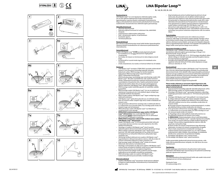













**70 W 55 W** 

 $\%$ 







## **LiNA Bipolar Loop™**

BL-160, BL-200, BL-240

#### **Kasutusotstarve**

LiNA Bipolar LoopTM on 5 mm bipolaarne elektrokirurgiline seade, mis on ette nähtud mobiliseeritud emaka amputatsiooniks laparoskoopilise supratservikaalse (subtotaalse) hüsterektoomia käigus ja devaskuleeritud subseroossete pedunkuleeritud müoomide resektsiooniks. Kasutamiseks koos elektrokirurgilise generaatoriga.

#### **Võimalikud tüsistused**

- Üleminek laparotoomiale • Elektrokirurgilised tüsistused (nt isolatsiooni rike, elektrilöök)
- Verejooks
- Implanteeritava elektriseadme talitlushäire • Peen- või jämesoole vigastus, sh perforatsioon
- Kuseteede vigastus
- Termilised põletused

#### **Patsiendirühmad**

Igas vanuses ja iga kehamassiga naised, kellel tehakse laparoskoopiline supratservikaalne hüsterektoomia või subseroosne pedunkuleeritud müomektoomia.

### **Vastunäidustused**

- Seadet LiNA Bipolar LoopTM **EI VÕI** kasutada järgmistel juhtudel: • kui emakakitsust ei saa enne aktiveerimist ringikujuliselt visualiseerida;
- kui emakas või müoom on kinnitunud mis tahes külgneva elundi külge;
- kui patsiendil on suured emaka tagaosa või emakakaela seina müoomid;
- emaka amputatsioon, kui rasedus on kestnud rohkem kui 20 nädalat.

### **Hoiatused**

- LiNA Bipolar LoopTM tarnitakse STERIILSENA, kasutades etüleenoksiidi protsessi. Enne kasutamist kontrollige pakendit võimalike kahjustuste suhtes. ÄRGE kasutage, kui steriilne barjäär on kahjustatud. ÄRGE kasutage pärast aegumiskuupäeva.
- AINULT ühekordseks kasutamiseks. ÄRGE korduskasutage, taastöödelge ega resteriliseerige seadet LiNA Bipolar LoopTM. Mis tahes taastöötlemine võib seadme toimimist häirida. Ühekordselt kasutatavate seadmete korduskasutamine võib suurendada ka ristsaastumise ohtu. Seadme puhastamise katsed põhjustavad seadme rikete ohtu ja/või vigast patoloogiaproovi võtmist seadmesse LiNA Bipolar LoopTM jäänud koejääkide tõttu.
- ÄRGE kasutage seadet tuleohtlike gaaside või tuleohtlike vedelike juuresolekul. • ÄRGE kasutage seadet LiNA Bipolar LoopTM, kui see on paindunud,
- väändunud, moondunud või ei võta täielikult algset rombjat kuju, kui käepide täielikult ette lükatakse. • ÄRGE muutke seadme LiNA Bipolar Loop™ algset rombjat kuju ega
- elektroodi isolatsiooni. • LiNA Bipolar LoopTM peab olema piisavalt suur, et mahtuda emaka
- keha või müoomi ümber. Seejärel viige silmus ümber emakakaela või müoomi varre.
- Enne generaatori aktiveerimist veenduge alati, et elektroodi aktiivne (s.t isoleerimata) osa ei puutuks kokku muu elundiga peale emaka või müoomi (nagu sool või veresoon). • ÄRGE aktiveerige seadet LiNA Bipolar LoopTM, kui lõikesilmuse
- visualiseerimine ei ole võimalik. **• EEMALDAGE emakamanipulaator enne seadme LiNA Bipolar**
- Loop™ aktiveerimist. Koos seadmega LiNA Bipolar Loop™ tohib kasutada **ainult** emakamanipulaatorit, mis on valmistatud MITTEJUHTIVAST materjalist (nt plastist). **• EEMALDAGE emakasisene vahend (IUD) emakast enne seadme**
- **LiNA Bipolar LoopTM aktiveerimist.**  • Seadet LiNA Bipolar LoopTM EI VÕI kasutada patsientidel, kelle põit
- ei saa emaka alumises eesmises osas põie vigastamise ohu tõttu täielikult dissekteerida.
- Veenduge, et seadme LiNA Bipolar Loop™ juhe EI puutuks elektrokirurgilisel aktiveerimisel kokku patsiendi ega kirurgi nahaga. • ÄRGE avaldage seadmele LiNA Bipolar LoopTM liigset jõudu/ koormust. See võib toodet kahjustada või viia emaka või müoomi
- kinnipigistamise ja mehaanilise lõikamiseni, põhjustades liigse verejooksu ohu. • Aktiveerige kindlasti elektrood enne seadme LiNA Bipolar Loop<sup>TI</sup>
- tagasitõmbamist. Aktiveerimata jätmise tulemus võib olla emaka või müoomi mehaaniline lõikamine ja liigse verejooksu oht. • Ärge kasutage seadet LiNA Bipolar LoopTM emaka või müoomi
- lõikamiseks alternatiivina mortsellatsioonile. • Veenduge, et keraamiline ots oleks enne seadme LiNA Bipolar Loop™ trokaari kaudu eemaldamist täielikult varde/torusse tagasi tõmmatud
- ennetamaks keraamilise otsa kinnijäämist klapihõlma. • Pärast kasutamist kõrvaldage toode ja pakend vastavalt haigla-, haldusüksuse ja/või kohaliku omavalitsuse eeskirjadele.
- ÄRGE aktiveerige seadet, kui seadme LiNA Bipolar Loop™ isoleerimata juhtmed puutuvad kokku metallesemetega.

### **Ettevaatusabinõud**

• Seadme LiNA Bipolar Loop™ kasutamine nõuab piisavat väljaõpet ja kogemusi laparoskoopilise hüsterektoomia ja müomektoomia tegemise vallas.

- Kõigi kohaldatavate juhiste hoolikalt järgimata jätmisel võivad tulemuseks olla patsiendi, arsti või abiliste märkimisväärsed vigastused ning negatiivne mõju tehtud protseduuride tulemustele.
- Kui patsiendile on implanteeritud elektrooniline seade (IED), tuleb rakendada ettevaatusabinõusid. Perioperatiivne meeskond peab enne operatsiooni ja vajaduse järgi konsulteerima implanteeritud seadet haldava meeskonnaga. Kui LiNA Bipolar LoopTM on aktiveeritud, tuleb seda hoida IED-st kaugemal kui ½ tolli (1 cm).
- Kasutage seadet LiNA Bipolar LoopTM ettevaatlikult muude teravate esemetega, kuna juhtme isolatsiooni kahjustamine võib viia seadme rikkeni.

**<u>Toote kirjeldus</u><br>LiNA Bipolar Loop™ koosneb musta värvi välistorust ja sinisest** sisetorust, mille külge on kinnitatud seadme käepide. Rombjas silmus on kinnitatud sisetoru külge ning seda lükatakse edasi, hoides musta välistoru ülemisest osast ja lükates samal ajal sinist käepidet ettepoole. Silmuse tagasitõmbamiseks tõmmake sinist käepidet ettevaatlikult ühe käega, hoides samal ajal teise käega musta välistoru.

#### **Generaatori kirjeldus ja sätted**

LiNA Bipolar LoopTM ühildub enamiku bipolaarse väljundiga standardsete elektrokirurgiliste generaatoritega (2 tikuga 4 mm fikseeritud pistik, kaugus 29 mm).

• Generaatori soovituslik säte on 55–70 W. Kasutage võimalikult väikesi sätteid, millega on võimalik saavutada soovitud kirurgiline tulemus. • Kasutage bipolaarset jalgpedaali.

**et**

• Kasutage ainult elektrokirurgilisi generaatoreid, mis töötavad sagedusel vähemalt 350 kuni 472 kHz, kattes bipolaarse energia võimsuse vahemiku 55–70 W.

#### **Kasutusjuhised**

See teave on ette nähtud seadme LiNA Bipolar Loop™ kasutamiseks. See ei ole ette nähtud laparoskoopiliste tehnikate või protseduuride demonstreerimiseks. Enne ükskõik millise laparoskoopilise protseduuri tegemist tutvuge avaldatud ja tunnustatud meditsiinilises kirjanduses toodud sobivate tehnikate, tüsistuste ja ohtudega. Vastunäidustuste kohta lugege kasutatava elektrokirurgilise generaatori ja/või laparoskoobi tootja kasutusjuhendist. Enne seadme kasutamist lugege kasutusjuhendit!

#### **Pärast emaka sidemete ja veresoonte õigesti ligeerimist võib emaka emakakaelast või müoomi varrest amputeerida, järgides allpool esitatud juhiseid.**

- 1. Enne kasutamist kontrollige pakendit võimalike kahjustuste suhtes. ÄRGE kasutage seadet, kui steriilne barjäär on kahjustatud.
- 2. Ühendage LiNA Bipolar LoopTM generaatori bipolaarse väljundiga. Seadistage generaatori võimsuseks 55–70 W olenevalt generaatori tüübist.
- 3. Sisestage LiNA Bipolar Loop™ ettevaatlikult 5 mm trokaari kaudu.<br>4. **a.** Voltige elektrood (silmus) lahti, lükates käepidet ettepoole.
- Käepide peab olema täielikult ette lükatud ja silmus peab olema 100% lahti volditud, enne kui silmus asetatakse emaka keha või müoomi ümber.
- **b.** Kasutage haaratsit (haaratseid) ja emakamanipulaatorit, et aidata viia elektrood (silmus) ümber emaka keha või müoomi. 5. Enne generaatori aktiveerimist veenduge alati, et elektroodi aktiivne
- (s.t isoleerimata) osa ei puutuks kokku mis tahes elundiga (nt sool või veresoon) peale emaka või müoomi. 6. **a.** Pinguldage silmust ettevaatlikult emaka keha alumise osa
- (emakakaelast kõrgemal) või müoomi varre ümber. **b. EEMALDAGE** emakamanipulaator silmust veidi lõdvendades.
- 7. **a.** Aktiveerige LiNA Bipolar Loop™, vajutades bipolaarsele pedaalile. Enne emaka või müoomi lõikamist oodake kindlasti bipolaarset energiat. Silmuse kohese tagasitõmbamise tulemus võib olla soovimatu mehaaniline lõige. **b.** Pärast emaka või müoomi amputatsiooni ärge aktiveerige
- elektroode, et emakat või müoomi manipuleerida või jagada. 8. Pärast emaka amputeerimist emakakaelalt veenduge, et endotservikaalse kanali proksimaalne osa, mis võib sisaldada endomeetriumi rakke, hüübiks, ning veenduge, et emakakaela
- köndil esinev veritsemine või immitsemine hüübiks.<br>9. Eemaldage LiNA Bipolar Loop™ trokaari kaudu.
- 10. Kõrvaldage LiNA Bipolar LoopTM pärast kasutamist.

Andke patsientidele järelkontrolli juhised tüsistuste puhuks, mille hulka võib kuuluda kõhusisene verejooks, mis võib harva viia suure verekaotuseni.

#### **Teavitamine**

Kõigist seadmega seotud tõsistest ohujuhtumitest tuleb teatada ettevõttele LiNA Medical ApS ning kasutaja ja/või patsiendi asukohariigi pädevale reguleerivale asutusele.

#### **Ettevaatust**

USA föderaalseaduse piirangute kohaselt tohib seda seadet müüa ainult väljaõppinud arst või tema ettekirjutusel.

Päritoluriik: Poola. CE-vastavusmärgis 2012.

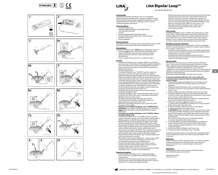















**70 W 55 W** 

 $\%$ 





## **LiNA Bipolar Loop™**

BL-160, BL-200, BL-240

### **Určené použití:**

Zdravotnický prostředek LiNA Bipolar LoopTM je 5mm bipolární elektrochirurgický prostředek určený k amputaci mobilizované dělohy při laparoskopické supracervikální (subtotální) hysterektomii a resekci devaskularizovaných subserózních stopkatých myomů. K použití s elektrochirurgickým generátorem.

### **Možné komplikace:**

- konverze na laparotomii; elektrochirurgické komplikace (např. selhání izolace, úraz elektrickým proudem);
- krvácení;
- porucha implantabilního elektrického zařízení; • poranění tenkého nebo tlustého střeva, včetně perforace;
- poranění močových cest;
- tepelné popáleniny.

#### **Populace pacientů:**

<u>Žena jakéhokoli věku a hmotnosti určená k laparoskopické supracervikální</u> hysterektomii nebo k resekci subserózních stopkatých myomů.

#### **Kontraindikace:**

- Prostředek LiNA Bipolar LoopTM **NELZE** použít v následujících situacích: • Pokud nelze před aktivací zobrazit cirkumferenčně děložní úžinu.
- Pokud je děloha nebo myom přirostlý k sousedním orgánům.
- Pokud má pacientka velké myomy zadní stěny dělohy nebo děložního hrdla.
- Amputace dělohy, která je větší než ve 20. gestačním týdnu.

#### **Varování:**

- Prostředek LiNA Bipolar LoopTM se dodává STERILNÍ a je sterilizován pomocí postupu s ethylenoxidem. Před použitím si pečlivě prohlédněte obal a zkontrolujte, zda není poškozený. NEPOUŽÍVEJTE prostředek, pokud je sterilní bariéra poškozená. NEPOUŽÍVEJTE prostředek po uplynutí data exspirace.
- POUZE pro jedno použití. Prostředek LiNA Bipolar Loop™ NESMÍ BÝT používán opakovaně, zpracováván opakovaně ani opakovaně sterilizován. Jakékoliv opakované zpracování může mít nepříznivý vliv na funkci prostředku. Opakované použití prostředků určených pro jedno použití může vést ke zvýšení rizika křížové kontaminace. Snahy o vyčištění prostředku mají za následek riziko jeho selhání a/nebo chybného odběru patologického vzorku způsobeného zbytkem tkáně v prostředku LiNA Bipolar Loop™.
- Prostředek NEPOUŽÍVEJTE v přítomnosti hořlavých plynů nebo kapalin. • Prostředek LiNA Bipolar LoopTM NEPOUŽÍVEJTE, pokud je ohnutý, zkroucený, deformovaný nebo se po úplném vysunutí rukojeti zcela nerozloží do původního kosočtvercového tvaru.
- NEMODIFIKUJTE původní kosočtvercový tvar a izolaci elektrod prostředku LiNA Bipolar Loop™.
- Prostředek LiNA Bipolar Loop™ musí být dostatečně velký, aby mohl<br>projít kolem těla dělohy nebo myomu. Poté přiložte smyčku kolem děložního hrdla nebo stopky myomu.
- Před aktivací generátoru vždy zkontrolujte, zda se aktivní (tj. neizolovaná) část elektrody nedotýká jiného orgánu než dělohy nebo myomu (např. střeva nebo cévy).
- NEAKTIVUJTE prostředek LiNA Bipolar Loop™, pokud není možné vizualizovat řeznou smyčku. **• Před aktivací prostředku LiNA Bipolar LoopTM VYJMĚTE děložní**
- **manipulátor.** S prostředkem LiNA Bipolar Loop™ by se měl používat **pouze** děložní manipulátor vyrobený z NEVODIVÉHO materiálu
- (např. plastu). **• Před aktivací prostředku LiNA Bipolar LoopTM VYJMĚTE z dělohy nitroděložní tělísko (IUD).**
- Prostředek LiNA Bipolar LoopTM by se NEMĚL používat u pacientek, u kterých nelze zcela vypreparovat močový měchýř v dolním předním děložním segmentu z důvodu rizika poranění močového měchýře.
- NEDOPUSŤTE, aby se kabel prostředku LiNA Bipolar Loop™ během elektrochirurgické aktivace dotýkal kůže pacientky nebo chirurga. • Na prostředek LiNA Bipolar LoopTM NEVYVÍJEJTE nadměrnou sílu/zátěž.
- Mohlo by dojít k poškození výrobku nebo k zaškrcení a mechanickému rozříznutí dělohy nebo myomu s rizikem nadměrného krvácení.
- Před vysunutím prostředku LiNA Bipolar Loop™ nezapomeňte aktivovat elektrodu. Pokud se aktivace neprovede, může dojít k mechanickému rozříznutí dělohy nebo myomu s rizikem nadměrného krvácení.
- Nepoužívejte prostředek LiNA Bipolar LoopTM k rozřezání dělohy nebo myomu jako alternativu k morcelaci. • Aby nedošlo k zachycení keramického hrotu v klapce ventilu, ujistěte
- se před vytažením prostředku LiNA Bipolar Loop™ přes trokar, že je keramický hrot zcela zasunut do hřídele/trubice.
- Po použití proveďte likvidaci výrobku a jeho obalu ve shodě se směrnicemi daného zdravotnického zařízení, místními správními předpisy a/nebo místními národními směrnicemi.
- Prostředek NEAKTIVUJTE, pokud jsou neizolované vodiče prostředku LiNA Bipolar LoopTM v kontaktu s kovovými předměty.

### **Bezpečnostní opatření:**

- Použití prostředku LiNA Bipolar Loop™ vyžaduje odpovídající školení a zkušenosti s prováděním laparoskopické hysterektomie a myomektomie.
- Nedodržení všech příslušných pokynů může vést k významnému zranění pacientky, lékaře nebo dalších přítomných osob a může mít nepříznivý vliv na výsledek provedených postupů.
- Pokud má pacientka implantován elektronický zdravotnický prostředek (implanted electronic device, IED), je třeba dodržet bezpečnostní opatření. Tým pečující o pacientku v období kolem operace by se měl radit s týmem, který spravuje implantovaný prostředek, a to před operací a poté podle potřeby. Pokud je prostředek LiNA Bipolar LoopTM aktivován, měl by být od IED vzdálen více než ½ palce (1 cm). • Používejte prostředek LiNA Bipolar LoopTM s jinými ostrými
- nástroji opatrně, protože poškození izolace drátu může vést k poruše prostředku.

#### **Popis výrobku:**

<u>Prostředek LiNA Bipolar Loop™ se skládá z černé vnější trubice a modré</u> vnitřní trubice, na které je připevněna rukojeť zařízení. Kosočtvercová smyčka je připevněna k vnitřní trubici a zavádí se přidržením horní části černé vnější trubice při současném zatlačení modré rukojeti směrem dopředu. Chcete-li smyčku zatáhnout, jednou rukou jemně zatáhněte za modrou rukojeť a druhou rukou přidržujte černou vnější trubici.

#### **Specifikace a nastavení generátoru:**

Prostředek LiNA Bipolar Loop™ je kompatibilní s většinou standardních elektrochirurgických generátorů s bipolárním výstupem (pevný 2kolíkový 4mm konektor s roztečí 29 mm).

- Doporučené nastavení generátoru je 55–70 W. Použijte nejnižší možné nastavení, kterým lze dosáhnout požadovaného chirurgického účinku. • Použijte bipolární nožní spínací pedál.
- Používejte pouze elektrochirurgické generátory pracující ve frekvenčním poli 350 až 472 kHz, které pokrývají minimálně výkonový rozsah 55–70 W bipolární energie.

#### **Návod k použití:**

Tyto informace slouží jako pokyny k použití prostředku LiNA Bipolar Loop™. Jejich účelem není ukázat laparoskopické techniky ani zákroky.<br>Před prováděním jakéhokoli laparoskopického zákroku se seznamte s odpovídajícími technikami, komplikacemi a riziky uvedenými v publikované a uznávané lékařské literatuře. Informace o kontraindikacích naleznete v návodu k použití od výrobce použitého elektrochirurgického generátoru a/nebo laparoskopu. Před použitím tohoto prostředku si přečtěte návod k použití!

**cs**

#### **Po správném podvázání děložních vazů a cév lze podle níže uvedených pokynů amputovat dělohu od děložního hrdla nebo myom od stopky:**

- 1. Před použitím si pečlivě prohlédněte obal a zkontrolujte, zda není poškozený. NEPOUŽÍVEJTE prostředek, pokud je sterilní bariéra poškozena.
- 2. Připojte prostředek LiNA Bipolar LoopTM k bipolárnímu výstupu generátoru. V závislosti na typu generátoru nastavte výkon generátoru mezi 55–70 W.
- 3. Opatrně zaveďte prostředek LiNA Bipolar Loop™ přes 5mm trokar.
- 4. **a.** Rozviňte elektrodu (smyčku) posunutím rukojeti dopředu. Před umístěním smyčky kolem děložního těla nebo myomu musí být rukojeť zcela vysunuta a smyčka 100% rozvinuta. **b.** Pomocí grasperu(ů) a děložního manipulátoru umístěte elektrodu
- (smyčku) kolem děložního těla nebo myomu. 5. Před aktivací generátoru vždy zkontrolujte, zda se aktivní (tj. neizolovaná) část elektrody kromě dělohy nebo myomu nedotýká jiného orgánu (např. střeva nebo cévy).
- 6. **a.** Opatrně utáhněte smyčku kolem dolní části těla dělohy (nad děložním hrdlem) nebo stopky myomu.
- **b. ODSTRAŇTE** děložní manipulátor mírným uvolněním tahu smyčky. 7. **a.** Aktivujte prostředek LiNA Bipolar Loop<sup>TM</sup> sešlápnutím bipolárního pedálu. Před provedením sekce dělohy nebo myomu určitě použijte bipolární energii. Okamžité zatažení smyčky může způsobit nechtěný mechanický řez.
- **b.** Po amputaci dělohy nebo myomu neaktivujte elektrody k manipulaci nebo dělení dělohy nebo myomu.
- 8. Po amputaci dělohy od čípku proveďte koagulaci proximální části endocervikálního kanálu, která může obsahovat endometriální buňky, a zajistěte koagulaci případného krvácení nebo výpotku na děložním pahýlu.
- 9. Vyjměte prostředek LiNA Bipolar Loop™ přes trokar. 10. Po použití prostředek LiNA Bipolar Loop™ zlikvidujte.

Poskytněte pacientkám pokyny pro následnou péči v případě komplikací včetně vnitrobřišního krvácení, které může ve vzácných případech vést k vykrvácení.

#### **Ohlašování:**

Jakýkoliv nežádoucí incident, ke kterému došlo v souvislosti s výrobkem, je třeba nahlásit společnosti LiNA Medical ApS a kompetentnímu regulačnímu úřadu země, ve které je uživatel a/nebo pacient zaregistrován.

#### **Upozornění:**

Podle federálního zákona (USA) smí tento prostředek prodávat nebo objednávat pouze vyškolený lékař.

Země původu: Polsko. Označení CE 2012.

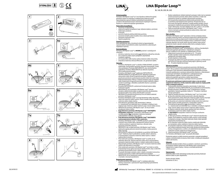









**70 W 55 W** 

 $\mathbf{c}$ 







 $\mathbb{C}$ 





### **Určené použitie:**

Pomôcka LiNA Bipolar Loop™ je 5 mm bipolárna elektrochirurgická pomôcka určená na amputáciu mobilizovanej maternice počas laparoskopickej supracervikálnej (subtotálnej) hysterektómie a resekciu devaskularizovaných subseróznych stopkatých myómov. Používa sa s elektrochirurgickým generátorom.

#### **Potenciálne komplikácie:** • konverzia na laparotómiu;

- elektrochirurgické komplikácie (napr. zlyhanie izolácie, usmrtenie elektrickým prúdom);
- krvácanie:
- porucha implantovateľnej elektrickej pomôcky; poranenie tenkého alebo hrubého čreva vrátane perforácie;
- poranenie močových ciest;
- tepelné popáleniny.

**Populácia pacientov:** Žena akéhokoľvek veku a hmotnosti určená na laparoskopickú supracervikálnu hysterektómiu alebo myomektómiu subseróznych stopkatých myómov.

#### **Kontraindikácie:**

Pomôcka LiNA Bipolar LoopTM sa **NESMIE** používať v nasledujúcich situáciách:

- ak istmus maternice nie je možné pred aktiváciou zobraziť po obvode, • ak sú maternica alebo myóm prilepené k akýmkoľvek
- susedným orgánom, • ak má pacientka veľké myómy zadnej maternice alebo steny krčka,
- amputácia maternice, ktorá je dlhšia ako v 20. gestačnom týždni.

### **Výstrahy:**

- Pomôcka LiNA Bipolar Loop™ sa dodáva STERILIZOVANÁ s použitím etylénoxidu. Pred použitím pomôcky starostlivo skontrolujte, či obal nie je poškodený. Pomôcku NEPOUŽÍVAJTE, ak je sterilná bariéra poškodená. Pomôcku NEPOUŽÍVAJTE po dátume exspirácie. • LEN na jednorazové použitie.
- Pomôcku LiNA Bipolar LoopTM opakovane NEPOUŽÍVAJTE, NESPRACOVÁVAJTE ani NESTERILIZUJTE. Akékoľvek opakované spracovanie môže ohroziť fungovanie pomôcky. Opakované používanie pomôcok na jednorazové použitie môže tiež zvýšiť riziko krížovej kontaminácie. Pokusy o čistenie pomôcky majú za následok riziko nesprávneho fungovania pomôcky a/alebo chybného odberu vzoriek na patológiu v dôsledku zvyškového tkaniva v pomôcke LiNA Bipolar Loop™
- Pomôcku NEPOUŽÍVAJTE v prítomnosti horľavých plynov alebo horľavých kvapalín.
- NEPOUŽÍVAJTE, ak je pomôcka LiNA Bipolar LoopTM ohnutá, skrútená, zdeformovaná alebo sa úplne nerozvinie do pôvodného kosoštvorcového tvaru, keď je rukoväť úplne vysunutá.
- NEUPRAVUJTE pôvodný kosoštvorcový tvar ani izoláciu elektród pomôcky LiNA Bipolar Loop™.
- Pomôcka LiNA Bipolar Loop™ musí byť dostatočne veľká, aby prešla<br>okolo tela maternice alebo myómu. Potom nasaďte slučku okolo krčka maternice alebo stopky myómu.
- Pred aktiváciou generátora vždy skontrolujte, či aktívna (t. j. neizolovaná) časť elektródy nie je v kontakte so žiadnym iným orgánom ako maternicou alebo myómom (napr. črevom alebo cievou).
- NEAKTIVUJTE pomôcku LiNA Bipolar LoopTM, ak nie je možné vizualizovať rezaciu slučku. **• Pred aktiváciou pomôcky LiNA Bipolar LoopTM ODSTRÁŇTE**
- manipulátor maternice. S pomôckou LiNA Bipolar Loop<sup>TI</sup> sa môže používať **iba** manipulátor maternice vyrobený z NEVODIVÉHO materiálu (napr. plastu). **• Pred aktiváciou pomôcky LiNA Bipolar LoopTM ODSTRÁŇTE**
- **vnútromaternicové teliesko (IUD) z maternice.**
- Pomôcka LiNA Bipolar LoopTM sa NESMIE používať u pacientok, u ktorých nie je možné úplne vypreparovať močový mechúr v dolnom prednom segmente maternice z dôvodu rizika poranenia močového mechúra.
- NEDOVOĽTE, aby sa kábel pomôcky LiNA Bipolar LoopTM počas elektrochirurgickej aktivácie dostal do kontaktu s kožou pacienta alebo chirurga.
- NEPOUŽÍVAJTE nadmernú silu/zaťaženie na pomôcku LiNA Bipolar LoopTM. Mohlo by dôjsť k poškodeniu výrobku alebo k uškrteniu a mechanickému rozrezaniu maternice alebo myómu s rizikom nadmerného krvácania.
- Pred stiahnutím pomôcky LiNA Bipolar LoopTM sa uistite, že ste elektródu aktivovali. Zlyhanie aktivácie môže viesť k mechanickému rozrezaniu maternice alebo myómu s rizikom nadmerného krvácania. • Nepoužívajte pomôcku LiNA Bipolar Loop<sup>™</sup> na rezanie maternice alebo
- myómu ako alternatívu k morcelácii. • Pred vytiahnutím pomôcky LiNA Bipolar LoopTM cez trokár sa uistite,
- že keramický hrot je úplne zasunutý do drieku/trubice, aby sa zabránilo zachyteniu keramického hrotu v laloku chlopne.
- Po použití zlikvidujte výrobok a obal v súlade so zásadami nemocnice, miestnej samosprávy a/alebo administratívnymi zásadami. • NEAKTIVUJTE, ak sú neizolované vodiče pomôcky LiNA Bipolar Loop™
- v kontakte s kovovými predmetmi.

**Bezpečnostné opatrenia:**<br>• Použitie pomôcky LiNA Bipolar Loop™ si vyžaduje adekvátny tréning a skúsenosti s vykonávaním laparoskopickej hysterektómie a myomektómie.

#### • Riadne nedodržanie všetkých platných postupov môže mať za následok značné poranenie pacienta, lekára alebo účastníkov a môže mať nepriaznivý účinok na výsledok vykonávaných postupov.

- Ak má pacientka implantovanú elektronickú pomôcku (IED), je potrebné prijať bezpečnostné opatrenia. Peroperačný tím sa musí pred chirurgickým zákrokom a podľa potreby poradiť s tímom spravujúcim implantovanú pomôcku. Keď je pomôcka LiNA Bipolar LoopTM aktivovaná, musí byť vzdialená viac ako ½ palca (1 cm) od IED.
- Opatrne používajte pomôcku LiNA Bipolar LoopTM s inými ostrými nástrojmi, pretože poškodenie izolácie drôtu môže viesť k poruche pomôcky.

#### **Opis výrobku:**

BL-160, BL-200, BL-240 **LiNA Bipolar Loop™** 

> Pomôcka LiNA Bipolar Loop™ pozostáva z čiernej vonkajšej trubice<br>a modrej vnútornej trubice, ku ktorej je pripevnená rukoväť pomôcky. Kosoštvorcová slučka je pripevnená k vnútornej trubici a posúva sa držaním hornej časti čiernej vonkajšej trubice a zatlačením modrej rukoväte dopredu. Ak chcete slučku zasunúť, jednou rukou jemne potiahnite modrú rukoväť a druhou držte čiernu vonkajšiu trubicu.

#### **Špecifikácie a nastavenia generátora:**

Pomôcka LiNA Bipolar LoopTM je kompatibilná s väčšinou štandardných elektrochirurgických generátorov s bipolárnym výstupom (pevná 2-kolíková 4 mm zástrčka so vzdialenosťou 29 mm).

- Odporúčané nastavenie pre generátor je 55 70 wattov. Použite najnižšie možné nastavenia schopné dosiahnuť požadovaný chirurgický efekt.
- Použite bipolárny nožný pedál.<br>• Používajte jba elektrochirurgick
- Používajte iba elektrochirurgické generátory pracujúce vo frekvenčnom poli 350 až 472 kHz ako minimum pokrývajúce výkonový rozsah 55 – 70 wattov bipolárnej energie.

**Návod na použitie:** Tieto informácie sú určené na používanie pomôcky LiNA Bipolar LoopTM. Nie sú určené na demonštrovanie laparoskopických techník a postupov. Pred vykonaním akéhokoľvek laparoskopického postupu si pozrite publikovanú a uznávanú zdravotnícku literatúru s informáciami o správnych technikách, komplikáciách a nebezpečenstvách. Kontraindikácie nájdete v návode na použitie od výrobcu elektrochirurgického generátora a/alebo laparoskopu. Pred použitím tejto pomôcky si prečítajte návod na použitie!

#### **Po správnom podviazaní maternicových väzov a ciev je možné amputovať maternicu z krčka maternice alebo myóm zo stopky podľa nižšie uvedených pokynov:**

- 1. Pred použitím pomôcky starostlivo skontrolujte, či obal nie je poškodený. Pomôcku NEPOUŽÍVAJTE, ak je poškodená sterilná bariéra. 2. Pripojte pomôcku LiNA Bipolar LoopTM k bipolárnemu výstupu
- generátora. Nastavte generátor medzi 55 70 wattov v závislosti od typu generátora.
- 3. Opatrne zaveďte pomôcku LiNA Bipolar Loop™ cez 5 mm trokár. 4. **a.** Rozviňte elektródu (slučku) posunutím rukoväte dopredu. Pred umiestnením slučky okolo tela maternice alebo myómu musí byť rukoväť úplne predsunutá a slučka musí byť 100 % rozvinutá. **b.** Na pomoc pri umiestnení elektródy (slučky) okolo tela maternice alebo myómu použite grasper(re) a manipulátor maternice.
- 5. Pred aktiváciou generátora vždy skontrolujte, či aktívna (t. j. neizolovaná) časť elektródy nie je v kontakte so žiadnym orgánom (napr. črevom alebo cievou) okrem maternice alebo myómu.
- 6. **a.** Opatrne utiahnite slučku okolo spodnej časti tela maternice (nad krčkom maternice) alebo stopky myómu. **b. ODSTRÁŇTE** manipulátor maternice miernym uvoľnením napätia slučky.
- 7. **a.** Aktivujte pomôcku LiNA Bipolar LoopTM stlačením bipolárneho pedála. Pred oddelením maternice alebo myómu určite počkajte na bipolárnu energiu. Okamžité stiahnutie slučky môže spôsobiť neúmyselný mechanický rez.
- **b.** Po amputácii maternice alebo myómu neaktivujte elektródy na manipuláciu alebo rozdelenie maternice alebo myómu. 8. Po amputácii maternice z krčka maternice sa uistite, že proximálna
- časť endocervikálneho kanála, ktorá môže obsahovať endometriálne bunky, je koagulovaná, a uistite sa, že akékoľvek krvácanie alebo mokvanie na krčku maternice je koagulované.
- 9. Vyberte pomôcku LiNA Bipolar Loop™ cez trokár. 10. Pomôcku LiNA Bipolar Loop™ po použití zlikvidujte
- 

Poskytnite pokyny na ďalšiu kontrolu pacientok v prípade komplikácií vrátane vnútrobrušného krvácania, ktoré môže v zriedkavých prípadoch viesť k vykrvácaniu.

### **Hlásenie:**

**Akýkoľvek závažný incident, ktorý sa vyskytol v súvislosti s pomôckou,** je potrebné nahlásiť spoločnosti LiNA Medical ApS a príslušnému regulačnému orgánu krajiny, v ktorej sa nachádza používateľ a/alebo pacient.

### **Upozornenie:**

Federálny zákon (USA) obmedzuje predaj tejto pomôcky školeným lekárom alebo na jeho objednávku.

Krajina pôvodu: Poľsko. Označenie CE 2012.